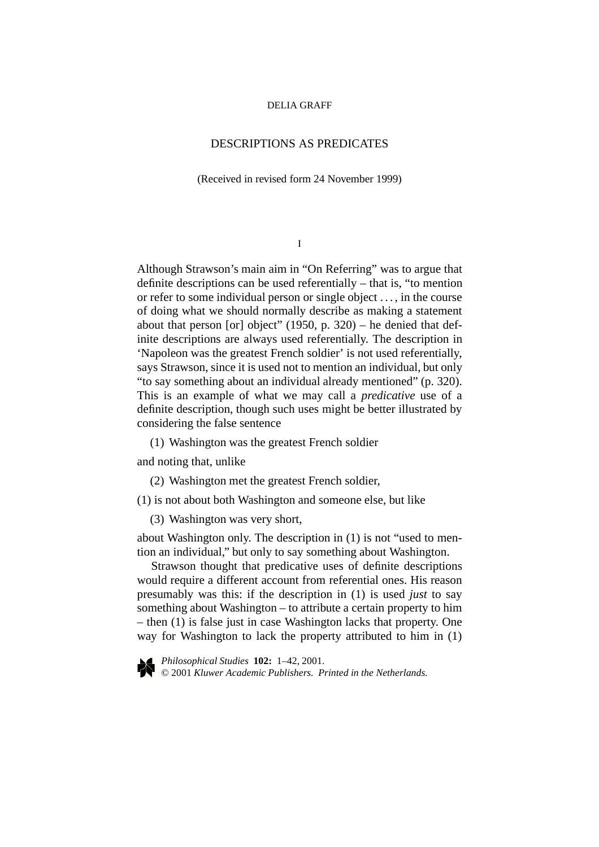## DESCRIPTIONS AS PREDICATES

(Received in revised form 24 November 1999)

I

Although Strawson's main aim in "On Referring" was to argue that definite descriptions can be used referentially – that is, "to mention or refer to some individual person or single object . . . , in the course of doing what we should normally describe as making a statement about that person [or] object" (1950, p. 320) – he denied that definite descriptions are always used referentially. The description in 'Napoleon was the greatest French soldier' is not used referentially, says Strawson, since it is used not to mention an individual, but only "to say something about an individual already mentioned" (p. 320). This is an example of what we may call a *predicative* use of a definite description, though such uses might be better illustrated by considering the false sentence

(1) Washington was the greatest French soldier

and noting that, unlike

(2) Washington met the greatest French soldier,

(1) is not about both Washington and someone else, but like

(3) Washington was very short,

about Washington only. The description in (1) is not "used to mention an individual," but only to say something about Washington.

Strawson thought that predicative uses of definite descriptions would require a different account from referential ones. His reason presumably was this: if the description in (1) is used *just* to say something about Washington – to attribute a certain property to him – then (1) is false just in case Washington lacks that property. One way for Washington to lack the property attributed to him in (1)



*Philosophical Studies* **102:** 1–42, 2001. © 2001 *Kluwer Academic Publishers. Printed in the Netherlands.*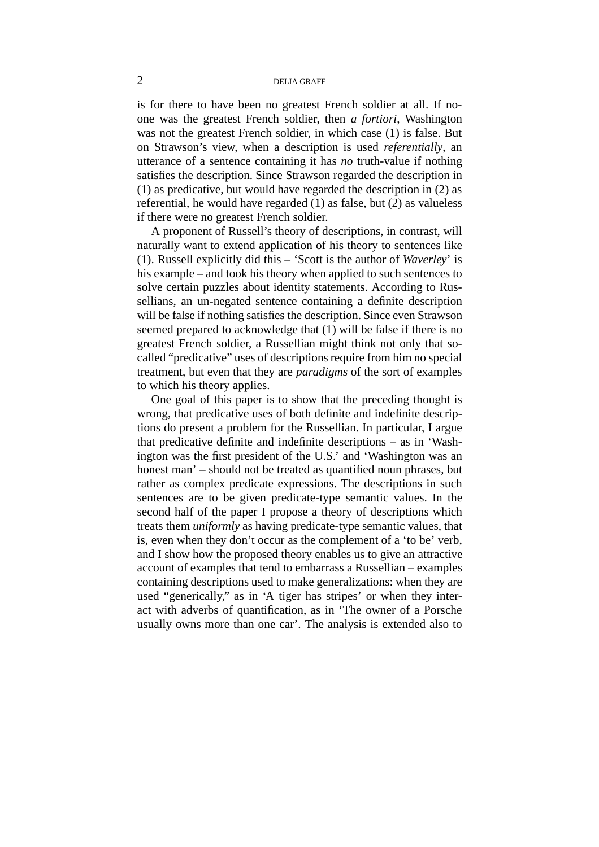is for there to have been no greatest French soldier at all. If noone was the greatest French soldier, then *a fortiori*, Washington was not the greatest French soldier, in which case (1) is false. But on Strawson's view, when a description is used *referentially*, an utterance of a sentence containing it has *no* truth-value if nothing satisfies the description. Since Strawson regarded the description in (1) as predicative, but would have regarded the description in (2) as referential, he would have regarded (1) as false, but (2) as valueless if there were no greatest French soldier.

A proponent of Russell's theory of descriptions, in contrast, will naturally want to extend application of his theory to sentences like (1). Russell explicitly did this – 'Scott is the author of *Waverley*' is his example – and took his theory when applied to such sentences to solve certain puzzles about identity statements. According to Russellians, an un-negated sentence containing a definite description will be false if nothing satisfies the description. Since even Strawson seemed prepared to acknowledge that (1) will be false if there is no greatest French soldier, a Russellian might think not only that socalled "predicative" uses of descriptions require from him no special treatment, but even that they are *paradigms* of the sort of examples to which his theory applies.

One goal of this paper is to show that the preceding thought is wrong, that predicative uses of both definite and indefinite descriptions do present a problem for the Russellian. In particular, I argue that predicative definite and indefinite descriptions – as in 'Washington was the first president of the U.S.' and 'Washington was an honest man' – should not be treated as quantified noun phrases, but rather as complex predicate expressions. The descriptions in such sentences are to be given predicate-type semantic values. In the second half of the paper I propose a theory of descriptions which treats them *uniformly* as having predicate-type semantic values, that is, even when they don't occur as the complement of a 'to be' verb, and I show how the proposed theory enables us to give an attractive account of examples that tend to embarrass a Russellian – examples containing descriptions used to make generalizations: when they are used "generically," as in 'A tiger has stripes' or when they interact with adverbs of quantification, as in 'The owner of a Porsche usually owns more than one car'. The analysis is extended also to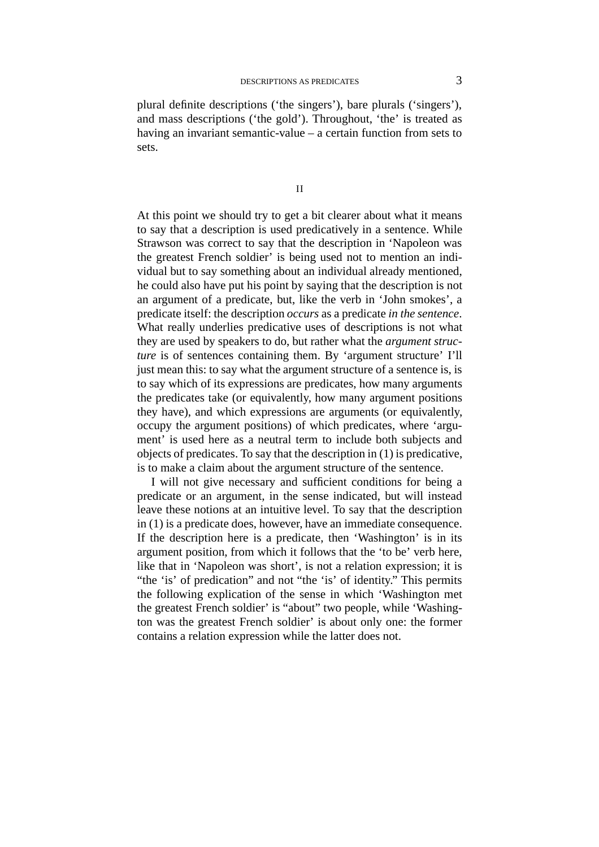plural definite descriptions ('the singers'), bare plurals ('singers'), and mass descriptions ('the gold'). Throughout, 'the' is treated as having an invariant semantic-value – a certain function from sets to sets.

II

At this point we should try to get a bit clearer about what it means to say that a description is used predicatively in a sentence. While Strawson was correct to say that the description in 'Napoleon was the greatest French soldier' is being used not to mention an individual but to say something about an individual already mentioned, he could also have put his point by saying that the description is not an argument of a predicate, but, like the verb in 'John smokes', a predicate itself: the description *occurs* as a predicate *in the sentence*. What really underlies predicative uses of descriptions is not what they are used by speakers to do, but rather what the *argument structure* is of sentences containing them. By 'argument structure' I'll just mean this: to say what the argument structure of a sentence is, is to say which of its expressions are predicates, how many arguments the predicates take (or equivalently, how many argument positions they have), and which expressions are arguments (or equivalently, occupy the argument positions) of which predicates, where 'argument' is used here as a neutral term to include both subjects and objects of predicates. To say that the description in (1) is predicative, is to make a claim about the argument structure of the sentence.

I will not give necessary and sufficient conditions for being a predicate or an argument, in the sense indicated, but will instead leave these notions at an intuitive level. To say that the description in (1) is a predicate does, however, have an immediate consequence. If the description here is a predicate, then 'Washington' is in its argument position, from which it follows that the 'to be' verb here, like that in 'Napoleon was short', is not a relation expression; it is "the 'is' of predication" and not "the 'is' of identity." This permits the following explication of the sense in which 'Washington met the greatest French soldier' is "about" two people, while 'Washington was the greatest French soldier' is about only one: the former contains a relation expression while the latter does not.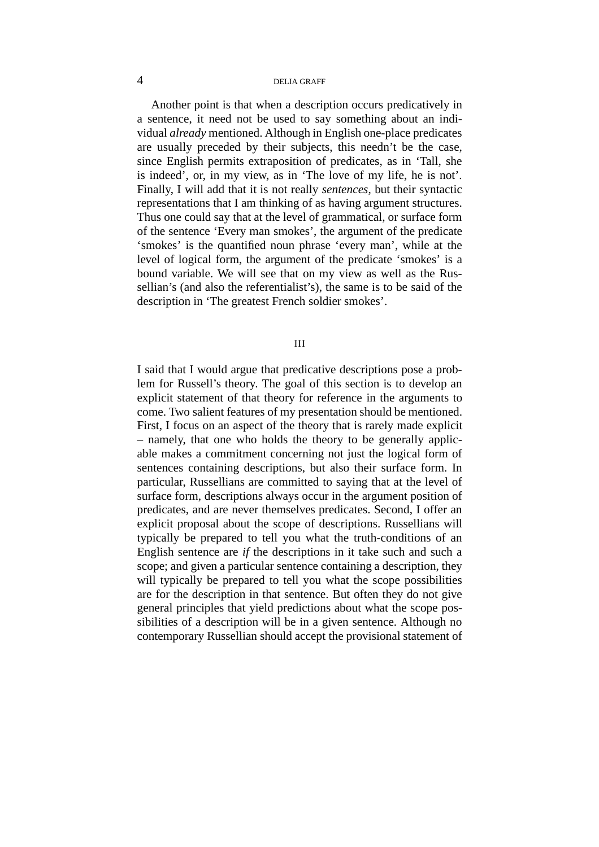Another point is that when a description occurs predicatively in a sentence, it need not be used to say something about an individual *already* mentioned. Although in English one-place predicates are usually preceded by their subjects, this needn't be the case, since English permits extraposition of predicates, as in 'Tall, she is indeed', or, in my view, as in 'The love of my life, he is not'. Finally, I will add that it is not really *sentences*, but their syntactic representations that I am thinking of as having argument structures. Thus one could say that at the level of grammatical, or surface form of the sentence 'Every man smokes', the argument of the predicate 'smokes' is the quantified noun phrase 'every man', while at the level of logical form, the argument of the predicate 'smokes' is a bound variable. We will see that on my view as well as the Russellian's (and also the referentialist's), the same is to be said of the description in 'The greatest French soldier smokes'.

### III

I said that I would argue that predicative descriptions pose a problem for Russell's theory. The goal of this section is to develop an explicit statement of that theory for reference in the arguments to come. Two salient features of my presentation should be mentioned. First, I focus on an aspect of the theory that is rarely made explicit – namely, that one who holds the theory to be generally applicable makes a commitment concerning not just the logical form of sentences containing descriptions, but also their surface form. In particular, Russellians are committed to saying that at the level of surface form, descriptions always occur in the argument position of predicates, and are never themselves predicates. Second, I offer an explicit proposal about the scope of descriptions. Russellians will typically be prepared to tell you what the truth-conditions of an English sentence are *if* the descriptions in it take such and such a scope; and given a particular sentence containing a description, they will typically be prepared to tell you what the scope possibilities are for the description in that sentence. But often they do not give general principles that yield predictions about what the scope possibilities of a description will be in a given sentence. Although no contemporary Russellian should accept the provisional statement of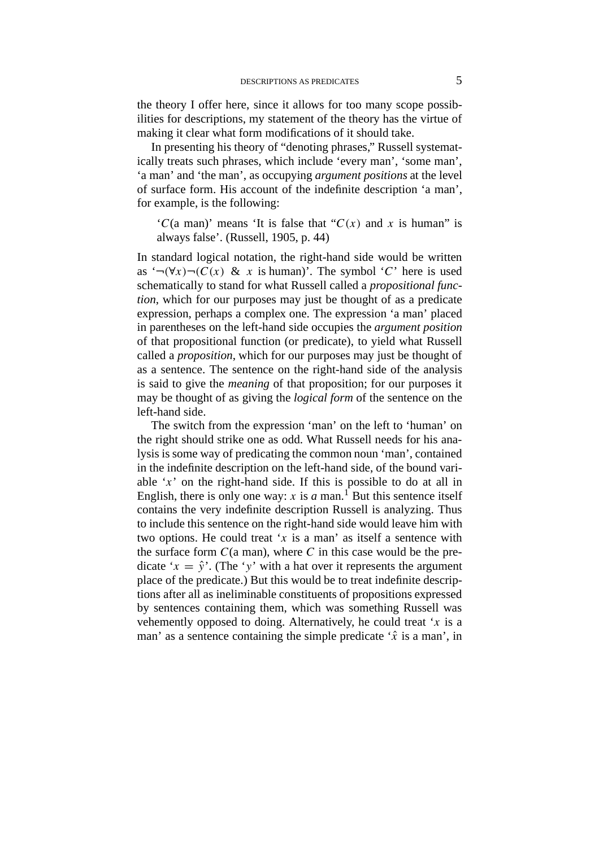the theory I offer here, since it allows for too many scope possibilities for descriptions, my statement of the theory has the virtue of making it clear what form modifications of it should take.

In presenting his theory of "denoting phrases," Russell systematically treats such phrases, which include 'every man', 'some man', 'a man' and 'the man', as occupying *argument positions* at the level of surface form. His account of the indefinite description 'a man', for example, is the following:

 ${^{\circ}C}$ (a man)' means 'It is false that  ${^{\circ}C}(x)$  and x is human'' is always false'. (Russell, 1905, p. 44)

In standard logical notation, the right-hand side would be written as  $\lq\neg(\forall x)\neg(C(x) \& x \text{ is human})$ . The symbol '*C*' here is used schematically to stand for what Russell called a *propositional function*, which for our purposes may just be thought of as a predicate expression, perhaps a complex one. The expression 'a man' placed in parentheses on the left-hand side occupies the *argument position* of that propositional function (or predicate), to yield what Russell called a *proposition*, which for our purposes may just be thought of as a sentence. The sentence on the right-hand side of the analysis is said to give the *meaning* of that proposition; for our purposes it may be thought of as giving the *logical form* of the sentence on the left-hand side.

The switch from the expression 'man' on the left to 'human' on the right should strike one as odd. What Russell needs for his analysis is some way of predicating the common noun 'man', contained in the indefinite description on the left-hand side, of the bound variable '*x*' on the right-hand side. If this is possible to do at all in English, there is only one way: *x* is *a* man.<sup>1</sup> But this sentence itself contains the very indefinite description Russell is analyzing. Thus to include this sentence on the right-hand side would leave him with two options. He could treat '*x* is a man' as itself a sentence with the surface form  $C$ (a man), where  $C$  in this case would be the predicate ' $x = \hat{y}$ '. (The 'y' with a hat over it represents the argument place of the predicate.) But this would be to treat indefinite descriptions after all as ineliminable constituents of propositions expressed by sentences containing them, which was something Russell was vehemently opposed to doing. Alternatively, he could treat '*x* is a man' as a sentence containing the simple predicate  $\hat{x}$  is a man', in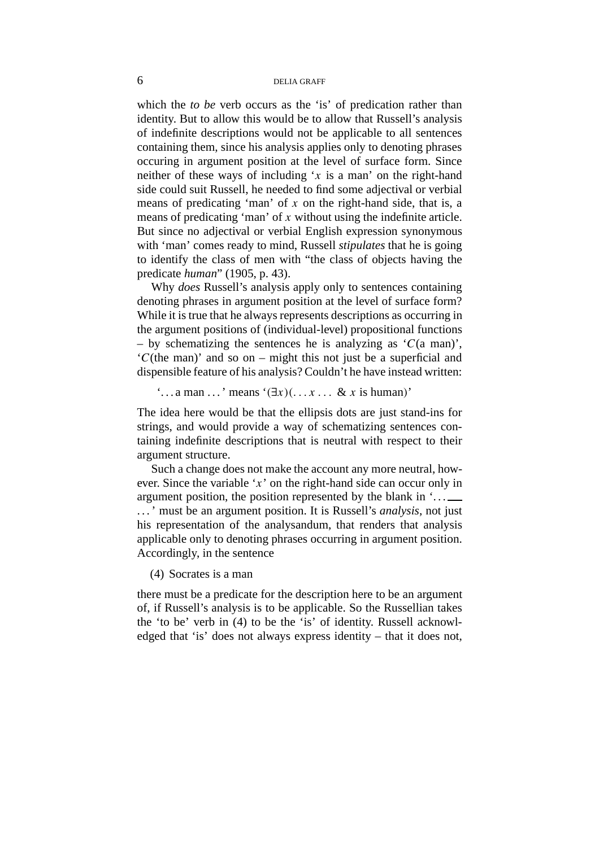which the *to be* verb occurs as the 'is' of predication rather than identity. But to allow this would be to allow that Russell's analysis of indefinite descriptions would not be applicable to all sentences containing them, since his analysis applies only to denoting phrases occuring in argument position at the level of surface form. Since neither of these ways of including '*x* is a man' on the right-hand side could suit Russell, he needed to find some adjectival or verbial means of predicating 'man' of *x* on the right-hand side, that is, a means of predicating 'man' of *x* without using the indefinite article. But since no adjectival or verbial English expression synonymous with 'man' comes ready to mind, Russell *stipulates* that he is going to identify the class of men with "the class of objects having the predicate *human*" (1905, p. 43).

Why *does* Russell's analysis apply only to sentences containing denoting phrases in argument position at the level of surface form? While it is true that he always represents descriptions as occurring in the argument positions of (individual-level) propositional functions – by schematizing the sentences he is analyzing as  $\mathcal{C}(a \text{ man})$ , '*C*(the man)' and so on – might this not just be a superficial and dispensible feature of his analysis? Couldn't he have instead written:

 $\therefore$  a man  $\ldots$  ' means  $\land$   $(\exists x)(\ldots x \ldots \& x$  is human)'

The idea here would be that the ellipsis dots are just stand-ins for strings, and would provide a way of schematizing sentences containing indefinite descriptions that is neutral with respect to their argument structure.

Such a change does not make the account any more neutral, however. Since the variable '*x*' on the right-hand side can occur only in argument position, the position represented by the blank in  $\ldots$ . . . ' must be an argument position. It is Russell's *analysis*, not just his representation of the analysandum, that renders that analysis applicable only to denoting phrases occurring in argument position. Accordingly, in the sentence

(4) Socrates is a man

there must be a predicate for the description here to be an argument of, if Russell's analysis is to be applicable. So the Russellian takes the 'to be' verb in (4) to be the 'is' of identity. Russell acknowledged that 'is' does not always express identity – that it does not,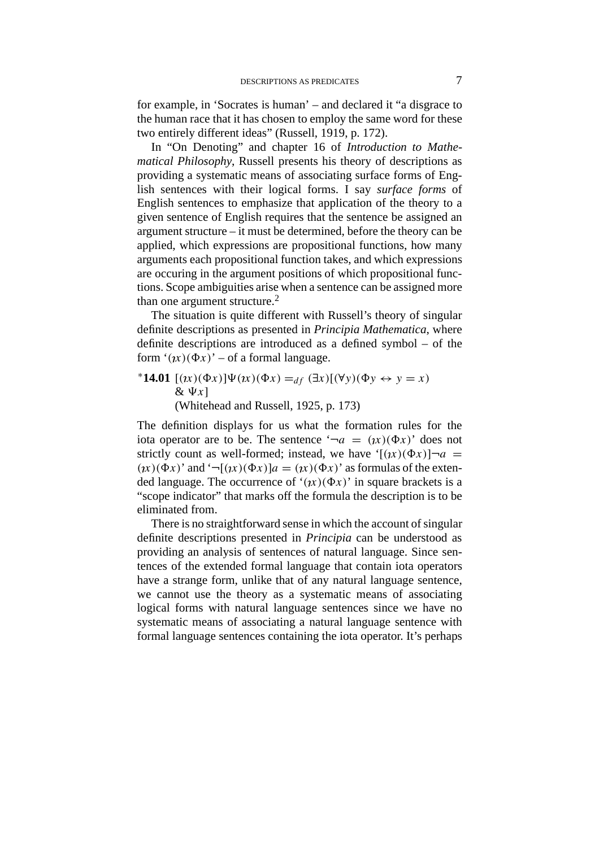for example, in 'Socrates is human' – and declared it "a disgrace to the human race that it has chosen to employ the same word for these two entirely different ideas" (Russell, 1919, p. 172).

In "On Denoting" and chapter 16 of *Introduction to Mathematical Philosophy*, Russell presents his theory of descriptions as providing a systematic means of associating surface forms of English sentences with their logical forms. I say *surface forms* of English sentences to emphasize that application of the theory to a given sentence of English requires that the sentence be assigned an argument structure – it must be determined, before the theory can be applied, which expressions are propositional functions, how many arguments each propositional function takes, and which expressions are occuring in the argument positions of which propositional functions. Scope ambiguities arise when a sentence can be assigned more than one argument structure. $<sup>2</sup>$ </sup>

The situation is quite different with Russell's theory of singular definite descriptions as presented in *Principia Mathematica*, where definite descriptions are introduced as a defined symbol – of the form  $'(x)(\Phi x)'$  – of a formal language.

 $*14.01$  [(*x*)(Φ*x*)] $Ψ(*xx*)(Φ*x*) =<sub>df</sub> (∃*x*)[(∀*y*)(Φ*y* ↔ *y* = *x*)$  $\& \Psi x$ ] (Whitehead and Russell, 1925, p. 173)

The definition displays for us what the formation rules for the iota operator are to be. The sentence  $\hat{\sigma}$  =  $(x)(\Phi x)$  does not strictly count as well-formed; instead, we have ' $[(\lambda x)(\Phi x)]\neg a$  =  $(\iota x)(\Phi x)$ ' and ' $\neg$ [ $(\iota x)(\Phi x)$ ]*a* =  $(\iota x)(\Phi x)$ ' as formulas of the extended language. The occurrence of ' $(x)(\Phi x)$ ' in square brackets is a "scope indicator" that marks off the formula the description is to be eliminated from.

There is no straightforward sense in which the account of singular definite descriptions presented in *Principia* can be understood as providing an analysis of sentences of natural language. Since sentences of the extended formal language that contain iota operators have a strange form, unlike that of any natural language sentence, we cannot use the theory as a systematic means of associating logical forms with natural language sentences since we have no systematic means of associating a natural language sentence with formal language sentences containing the iota operator. It's perhaps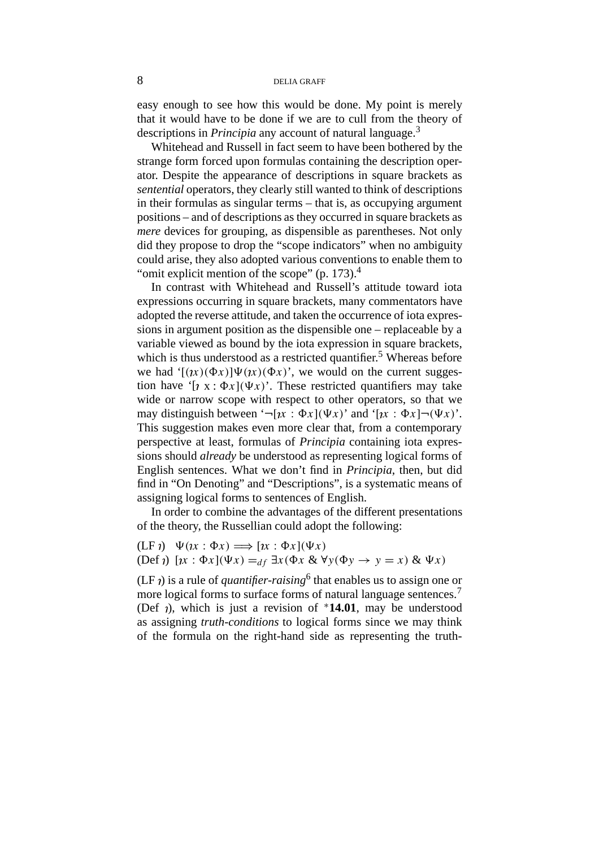easy enough to see how this would be done. My point is merely that it would have to be done if we are to cull from the theory of descriptions in *Principia* any account of natural language.<sup>3</sup>

Whitehead and Russell in fact seem to have been bothered by the strange form forced upon formulas containing the description operator. Despite the appearance of descriptions in square brackets as *sentential* operators, they clearly still wanted to think of descriptions in their formulas as singular terms – that is, as occupying argument positions – and of descriptions as they occurred in square brackets as *mere* devices for grouping, as dispensible as parentheses. Not only did they propose to drop the "scope indicators" when no ambiguity could arise, they also adopted various conventions to enable them to "omit explicit mention of the scope"  $(p. 173).<sup>4</sup>$ 

In contrast with Whitehead and Russell's attitude toward iota expressions occurring in square brackets, many commentators have adopted the reverse attitude, and taken the occurrence of iota expressions in argument position as the dispensible one – replaceable by a variable viewed as bound by the iota expression in square brackets, which is thus understood as a restricted quantifier.<sup>5</sup> Whereas before we had  $\int (1/x)(\Phi x) \Psi(x)(\Phi x)$ , we would on the current suggestion have ' $[x \times (x)](\Psi x)$ '. These restricted quantifiers may take wide or narrow scope with respect to other operators, so that we may distinguish between  $\lceil \neg (x : \Phi x](\Psi x) \rceil$  and  $\lceil \neg (x : \Phi x] \neg (\Psi x) \rceil$ . This suggestion makes even more clear that, from a contemporary perspective at least, formulas of *Principia* containing iota expressions should *already* be understood as representing logical forms of English sentences. What we don't find in *Principia*, then, but did find in "On Denoting" and "Descriptions", is a systematic means of assigning logical forms to sentences of English.

In order to combine the advantages of the different presentations of the theory, the Russellian could adopt the following:

 $(LF \iota) \quad \Psi(\iota x : \Phi x) \Longrightarrow [\iota x : \Phi x](\Psi x)$  $(Def \iota)$   $[x : \Phi x](\Psi x) =_{df} \exists x (\Phi x \& \forall y (\Phi y \rightarrow y = x) \& \Psi x)$ 

(LF  $\eta$ ) is a rule of *quantifier-raising*<sup>6</sup> that enables us to assign one or more logical forms to surface forms of natural language sentences.<sup>7</sup> (Def ), which is just a revision of <sup>∗</sup>**14.01**, may be understood as assigning *truth-conditions* to logical forms since we may think of the formula on the right-hand side as representing the truth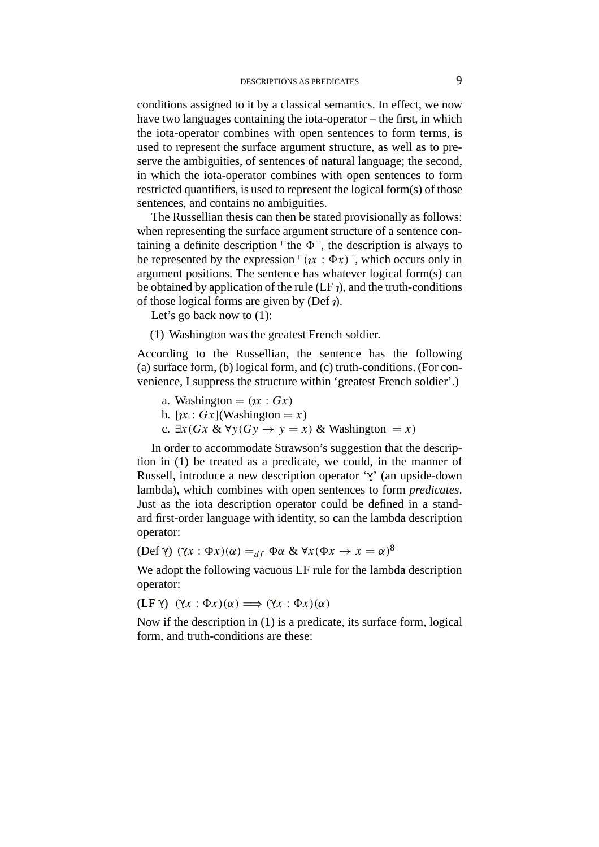conditions assigned to it by a classical semantics. In effect, we now have two languages containing the iota-operator – the first, in which the iota-operator combines with open sentences to form terms, is used to represent the surface argument structure, as well as to preserve the ambiguities, of sentences of natural language; the second, in which the iota-operator combines with open sentences to form restricted quantifiers, is used to represent the logical form(s) of those sentences, and contains no ambiguities.

The Russellian thesis can then be stated provisionally as follows: when representing the surface argument structure of a sentence containing a definite description  $\ulcorner$  the  $\Phi \urcorner$ , the description is always to be represented by the expression  $\lceil (x : \Phi x) \rceil$ , which occurs only in argument positions. The sentence has whatever logical form(s) can be obtained by application of the rule  $(LF_i)$ , and the truth-conditions of those logical forms are given by (Def  $\eta$ ).

Let's go back now to  $(1)$ :

(1) Washington was the greatest French soldier.

According to the Russellian, the sentence has the following (a) surface form, (b) logical form, and (c) truth-conditions. (For convenience, I suppress the structure within 'greatest French soldier'.)

- a. Washington  $= (\iota x : Gx)$
- b.  $[x : Gx]$ (Washington = *x*)
- c. ∃*x(Gx* & ∀*y(Gy* → *y* = *x)* & Washington = *x)*

In order to accommodate Strawson's suggestion that the description in (1) be treated as a predicate, we could, in the manner of Russell, introduce a new description operator  $\gamma$  (an upside-down lambda), which combines with open sentences to form *predicates*. Just as the iota description operator could be defined in a standard first-order language with identity, so can the lambda description operator:

 $(Def γ) (γx : Φx)(α) =<sub>df</sub> Φα & √x(Φx → x = α)<sup>8</sup>$ 

We adopt the following vacuous LF rule for the lambda description operator:

 $(LF \gamma) (\gamma x : \Phi x)(\alpha) \Longrightarrow (\gamma x : \Phi x)(\alpha)$ 

Now if the description in (1) is a predicate, its surface form, logical form, and truth-conditions are these: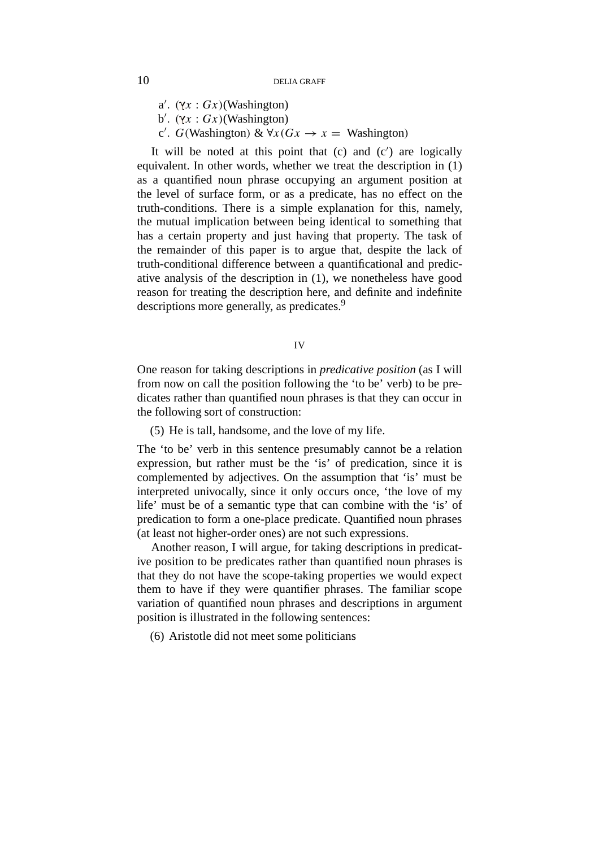a'.  $(\forall x : Gx)$ (Washington)

- b'.  $(\forall x : Gx)$ (Washington)
- $c'$ . *G*(Washington) &  $\forall x (Gx \rightarrow x =$  Washington)

It will be noted at this point that  $(c)$  and  $(c')$  are logically equivalent. In other words, whether we treat the description in (1) as a quantified noun phrase occupying an argument position at the level of surface form, or as a predicate, has no effect on the truth-conditions. There is a simple explanation for this, namely, the mutual implication between being identical to something that has a certain property and just having that property. The task of the remainder of this paper is to argue that, despite the lack of truth-conditional difference between a quantificational and predicative analysis of the description in (1), we nonetheless have good reason for treating the description here, and definite and indefinite descriptions more generally, as predicates.<sup>9</sup>

IV

One reason for taking descriptions in *predicative position* (as I will from now on call the position following the 'to be' verb) to be predicates rather than quantified noun phrases is that they can occur in the following sort of construction:

(5) He is tall, handsome, and the love of my life.

The 'to be' verb in this sentence presumably cannot be a relation expression, but rather must be the 'is' of predication, since it is complemented by adjectives. On the assumption that 'is' must be interpreted univocally, since it only occurs once, 'the love of my life' must be of a semantic type that can combine with the 'is' of predication to form a one-place predicate. Quantified noun phrases (at least not higher-order ones) are not such expressions.

Another reason, I will argue, for taking descriptions in predicative position to be predicates rather than quantified noun phrases is that they do not have the scope-taking properties we would expect them to have if they were quantifier phrases. The familiar scope variation of quantified noun phrases and descriptions in argument position is illustrated in the following sentences:

(6) Aristotle did not meet some politicians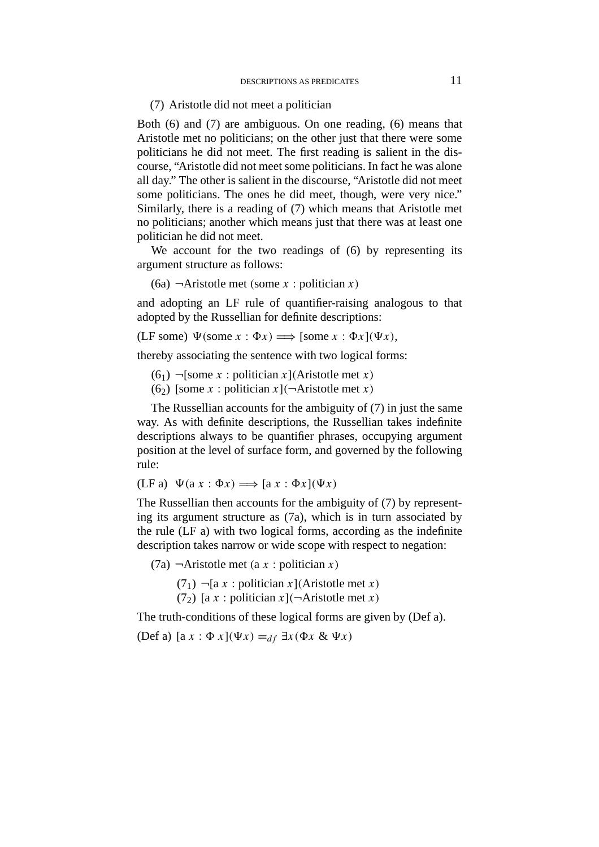(7) Aristotle did not meet a politician

Both (6) and (7) are ambiguous. On one reading, (6) means that Aristotle met no politicians; on the other just that there were some politicians he did not meet. The first reading is salient in the discourse, "Aristotle did not meet some politicians. In fact he was alone all day." The other is salient in the discourse, "Aristotle did not meet some politicians. The ones he did meet, though, were very nice." Similarly, there is a reading of (7) which means that Aristotle met no politicians; another which means just that there was at least one politician he did not meet.

We account for the two readings of (6) by representing its argument structure as follows:

(6a) ¬Aristotle met *(*some *x* : politician *x)*

and adopting an LF rule of quantifier-raising analogous to that adopted by the Russellian for definite descriptions:

 $(LF some) \Psi(some x : \Phi x) \Longrightarrow [some x : \Phi x](\Psi x),$ 

thereby associating the sentence with two logical forms:

(61) ¬[some *x* : politician *x*]*(*Aristotle met *x)*

(6<sub>2</sub>) [some *x* : politician *x*]( $\neg$ Aristotle met *x*)

The Russellian accounts for the ambiguity of (7) in just the same way. As with definite descriptions, the Russellian takes indefinite descriptions always to be quantifier phrases, occupying argument position at the level of surface form, and governed by the following rule:

 $(LF a) \Psi(ax : \Phi x) \Longrightarrow [ax : \Phi x](\Psi x)$ 

The Russellian then accounts for the ambiguity of (7) by representing its argument structure as (7a), which is in turn associated by the rule (LF a) with two logical forms, according as the indefinite description takes narrow or wide scope with respect to negation:

(7a) ¬Aristotle met *(*a *x* : politician *x)*

(71) ¬[a *x* : politician *x*]*(*Aristotle met *x)* (7<sub>2</sub>) [a *x* : politician *x*]( $\neg$ Aristotle met *x*)

The truth-conditions of these logical forms are given by (Def a).

(Def a)  $[a x : \Phi x](\Psi x) =_{df} \exists x (\Phi x \& \Psi x)$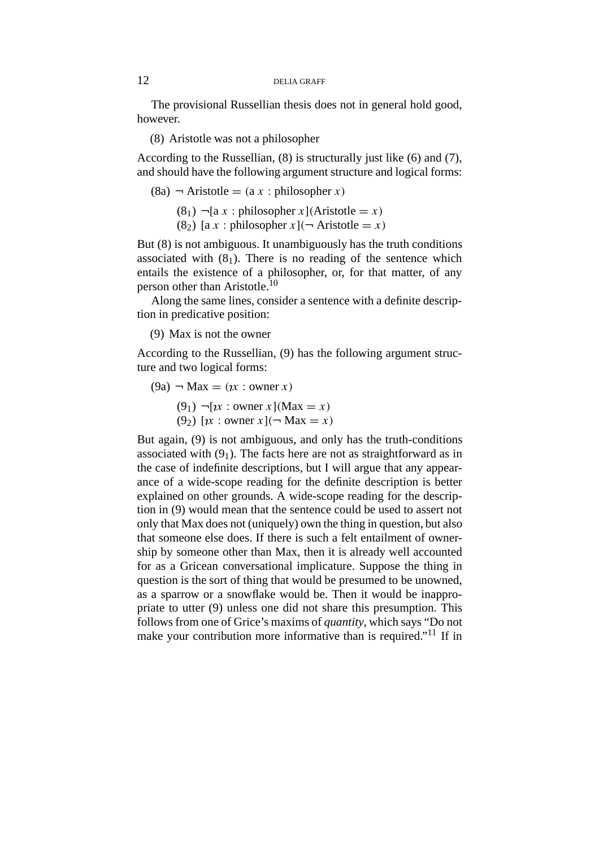The provisional Russellian thesis does not in general hold good, however.

(8) Aristotle was not a philosopher

According to the Russellian, (8) is structurally just like (6) and (7), and should have the following argument structure and logical forms:

$$
(8a)
$$
  $\neg$  Aristotle =  $(a x : philosopher x)$ 

 $(8<sub>1</sub>)$   $\neg$ [a *x* : philosopher *x*](Aristotle = *x*)

 $(8_2)$  [a *x* : philosopher *x*] $(\neg$  Aristotle = *x*)

But (8) is not ambiguous. It unambiguously has the truth conditions associated with  $(8<sub>1</sub>)$ . There is no reading of the sentence which entails the existence of a philosopher, or, for that matter, of any person other than Aristotle.10

Along the same lines, consider a sentence with a definite description in predicative position:

(9) Max is not the owner

According to the Russellian, (9) has the following argument structure and two logical forms:

$$
(9a) - Max = (ix : owner x)
$$

 $(9_1)$   $\neg [1]$ *x* : owner *x*](Max = *x*)

 $(9_2)$  [ $\chi$  : owner  $x$ ]( $\neg$  Max =  $x$ )

But again, (9) is not ambiguous, and only has the truth-conditions associated with  $(9<sub>1</sub>)$ . The facts here are not as straightforward as in the case of indefinite descriptions, but I will argue that any appearance of a wide-scope reading for the definite description is better explained on other grounds. A wide-scope reading for the description in (9) would mean that the sentence could be used to assert not only that Max does not (uniquely) own the thing in question, but also that someone else does. If there is such a felt entailment of ownership by someone other than Max, then it is already well accounted for as a Gricean conversational implicature. Suppose the thing in question is the sort of thing that would be presumed to be unowned, as a sparrow or a snowflake would be. Then it would be inappropriate to utter (9) unless one did not share this presumption. This follows from one of Grice's maxims of *quantity*, which says "Do not make your contribution more informative than is required."11 If in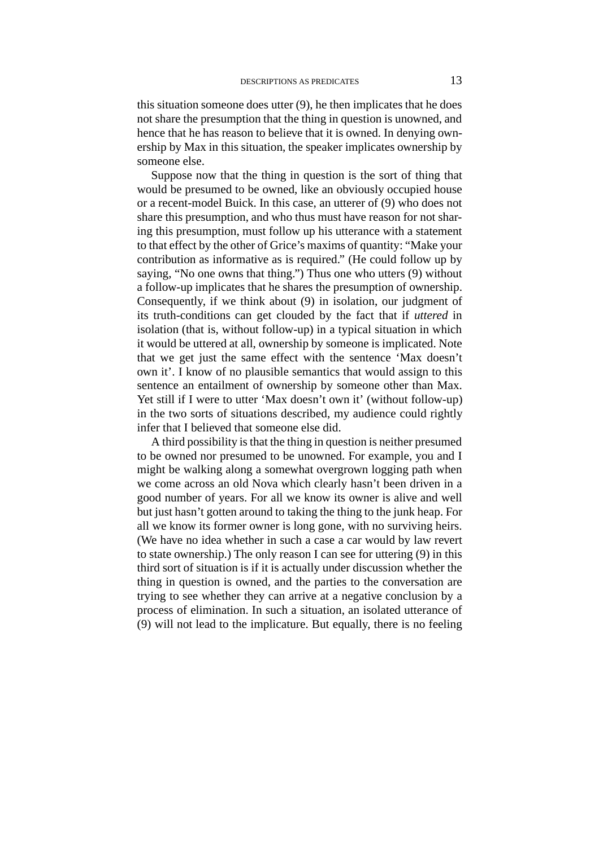this situation someone does utter (9), he then implicates that he does not share the presumption that the thing in question is unowned, and hence that he has reason to believe that it is owned. In denying ownership by Max in this situation, the speaker implicates ownership by someone else.

Suppose now that the thing in question is the sort of thing that would be presumed to be owned, like an obviously occupied house or a recent-model Buick. In this case, an utterer of (9) who does not share this presumption, and who thus must have reason for not sharing this presumption, must follow up his utterance with a statement to that effect by the other of Grice's maxims of quantity: "Make your contribution as informative as is required." (He could follow up by saying, "No one owns that thing.") Thus one who utters (9) without a follow-up implicates that he shares the presumption of ownership. Consequently, if we think about (9) in isolation, our judgment of its truth-conditions can get clouded by the fact that if *uttered* in isolation (that is, without follow-up) in a typical situation in which it would be uttered at all, ownership by someone is implicated. Note that we get just the same effect with the sentence 'Max doesn't own it'. I know of no plausible semantics that would assign to this sentence an entailment of ownership by someone other than Max. Yet still if I were to utter 'Max doesn't own it' (without follow-up) in the two sorts of situations described, my audience could rightly infer that I believed that someone else did.

A third possibility is that the thing in question is neither presumed to be owned nor presumed to be unowned. For example, you and I might be walking along a somewhat overgrown logging path when we come across an old Nova which clearly hasn't been driven in a good number of years. For all we know its owner is alive and well but just hasn't gotten around to taking the thing to the junk heap. For all we know its former owner is long gone, with no surviving heirs. (We have no idea whether in such a case a car would by law revert to state ownership.) The only reason I can see for uttering (9) in this third sort of situation is if it is actually under discussion whether the thing in question is owned, and the parties to the conversation are trying to see whether they can arrive at a negative conclusion by a process of elimination. In such a situation, an isolated utterance of (9) will not lead to the implicature. But equally, there is no feeling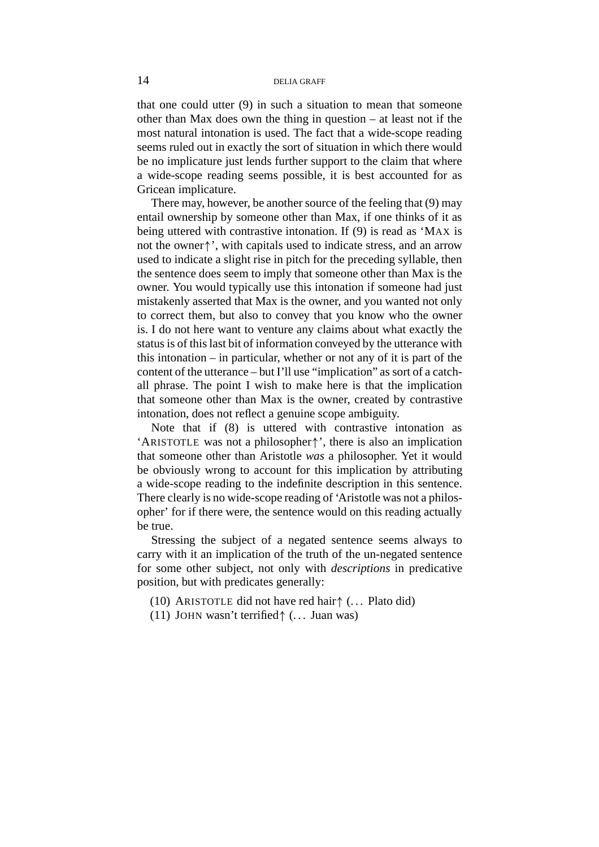that one could utter (9) in such a situation to mean that someone other than Max does own the thing in question – at least not if the most natural intonation is used. The fact that a wide-scope reading seems ruled out in exactly the sort of situation in which there would be no implicature just lends further support to the claim that where a wide-scope reading seems possible, it is best accounted for as Gricean implicature.

There may, however, be another source of the feeling that (9) may entail ownership by someone other than Max, if one thinks of it as being uttered with contrastive intonation. If (9) is read as 'MAX is not the owner↑', with capitals used to indicate stress, and an arrow used to indicate a slight rise in pitch for the preceding syllable, then the sentence does seem to imply that someone other than Max is the owner. You would typically use this intonation if someone had just mistakenly asserted that Max is the owner, and you wanted not only to correct them, but also to convey that you know who the owner is. I do not here want to venture any claims about what exactly the status is of this last bit of information conveyed by the utterance with this intonation – in particular, whether or not any of it is part of the content of the utterance – but I'll use "implication" as sort of a catchall phrase. The point I wish to make here is that the implication that someone other than Max is the owner, created by contrastive intonation, does not reflect a genuine scope ambiguity.

Note that if (8) is uttered with contrastive intonation as 'ARISTOTLE was not a philosopher↑', there is also an implication that someone other than Aristotle *was* a philosopher. Yet it would be obviously wrong to account for this implication by attributing a wide-scope reading to the indefinite description in this sentence. There clearly is no wide-scope reading of 'Aristotle was not a philosopher' for if there were, the sentence would on this reading actually be true.

Stressing the subject of a negated sentence seems always to carry with it an implication of the truth of the un-negated sentence for some other subject, not only with *descriptions* in predicative position, but with predicates generally:

- (10) ARISTOTLE did not have red hair↑ (. . . Plato did)
- (11) JOHN wasn't terrified↑ (. . . Juan was)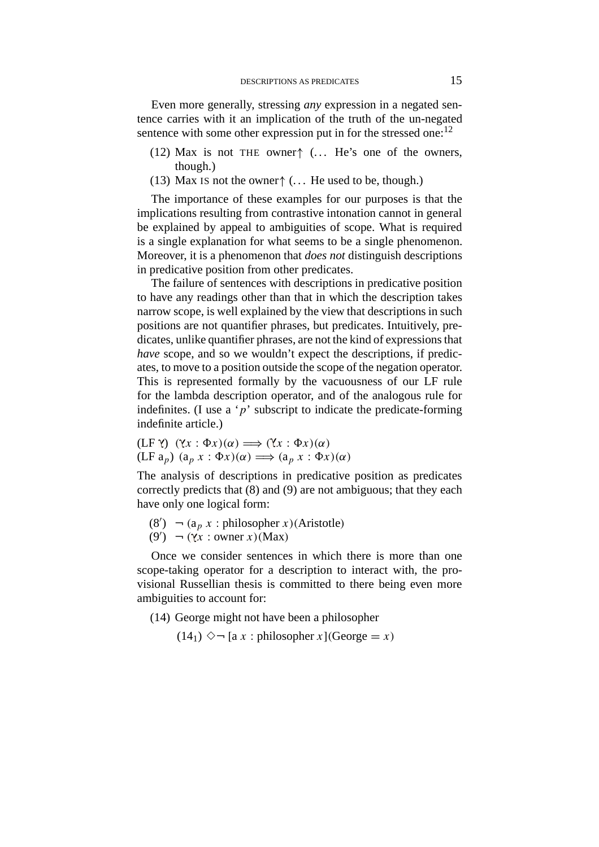Even more generally, stressing *any* expression in a negated sentence carries with it an implication of the truth of the un-negated sentence with some other expression put in for the stressed one:  $12$ 

- (12) Max is not THE owner↑ ( $\dots$  He's one of the owners, though.)
- (13) Max IS not the owner $\uparrow$  (... He used to be, though.)

The importance of these examples for our purposes is that the implications resulting from contrastive intonation cannot in general be explained by appeal to ambiguities of scope. What is required is a single explanation for what seems to be a single phenomenon. Moreover, it is a phenomenon that *does not* distinguish descriptions in predicative position from other predicates.

The failure of sentences with descriptions in predicative position to have any readings other than that in which the description takes narrow scope, is well explained by the view that descriptions in such positions are not quantifier phrases, but predicates. Intuitively, predicates, unlike quantifier phrases, are not the kind of expressions that *have* scope, and so we wouldn't expect the descriptions, if predicates, to move to a position outside the scope of the negation operator. This is represented formally by the vacuousness of our LF rule for the lambda description operator, and of the analogous rule for indefinites. (I use a  $\dot{p}$ ' subscript to indicate the predicate-forming indefinite article.)

 $(LF \gamma)$   $(\gamma x : \Phi x)(\alpha) \Longrightarrow (\gamma x : \Phi x)(\alpha)$  $(LF a_p)$   $(a_p x : \Phi x)(\alpha) \Longrightarrow (a_p x : \Phi x)(\alpha)$ 

The analysis of descriptions in predicative position as predicates correctly predicts that (8) and (9) are not ambiguous; that they each have only one logical form:

 $(8') \rightarrow (a_p x : \text{philosopher } x)(\text{Aristotle})$  $(9') \rightarrow (\gamma x : \text{ owner } x)(\text{Max})$ 

Once we consider sentences in which there is more than one scope-taking operator for a description to interact with, the provisional Russellian thesis is committed to there being even more ambiguities to account for:

(14) George might not have been a philosopher

 $(14<sub>1</sub>)$   $\diamond$   $\neg$  [a *x* : philosopher *x*](George = *x*)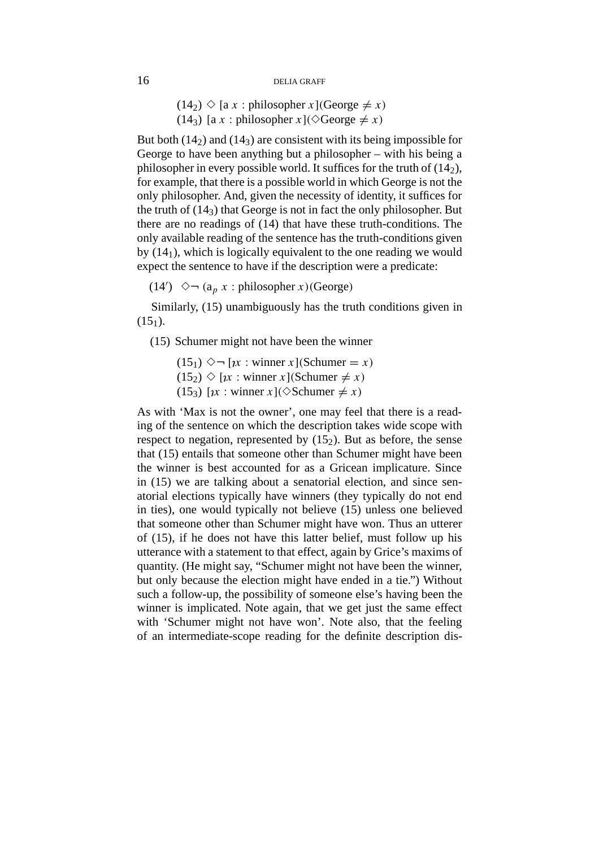```
(14_2) \Diamond [a x : philosopher x](George \neq x)
(14_3) [a x : philosopher x](\Diamond \text{George} \neq x)
```
But both  $(14<sub>2</sub>)$  and  $(14<sub>3</sub>)$  are consistent with its being impossible for George to have been anything but a philosopher – with his being a philosopher in every possible world. It suffices for the truth of  $(14<sub>2</sub>)$ , for example, that there is a possible world in which George is not the only philosopher. And, given the necessity of identity, it suffices for the truth of  $(14<sub>3</sub>)$  that George is not in fact the only philosopher. But there are no readings of (14) that have these truth-conditions. The only available reading of the sentence has the truth-conditions given by  $(14<sub>1</sub>)$ , which is logically equivalent to the one reading we would expect the sentence to have if the description were a predicate:

 $(14') \quad \diamond \neg \ (a_p \ x : \text{philosopher } x)(\text{George})$ 

Similarly, (15) unambiguously has the truth conditions given in  $(15<sub>1</sub>)$ .

(15) Schumer might not have been the winner

 $(15<sub>1</sub>)$   $\diamond$   $\neg$  [*x* : winner *x*](Schumer = *x*)  $(15_2)$   $\Diamond$  [*x* : winner *x*](Schumer  $\neq$  *x*)  $(15_3)$  [*x* : winner *x*]( $\Diamond$ Schumer  $\neq$  *x*)

As with 'Max is not the owner', one may feel that there is a reading of the sentence on which the description takes wide scope with respect to negation, represented by  $(15<sub>2</sub>)$ . But as before, the sense that (15) entails that someone other than Schumer might have been the winner is best accounted for as a Gricean implicature. Since in (15) we are talking about a senatorial election, and since senatorial elections typically have winners (they typically do not end in ties), one would typically not believe (15) unless one believed that someone other than Schumer might have won. Thus an utterer of (15), if he does not have this latter belief, must follow up his utterance with a statement to that effect, again by Grice's maxims of quantity. (He might say, "Schumer might not have been the winner, but only because the election might have ended in a tie.") Without such a follow-up, the possibility of someone else's having been the winner is implicated. Note again, that we get just the same effect with 'Schumer might not have won'. Note also, that the feeling of an intermediate-scope reading for the definite description dis-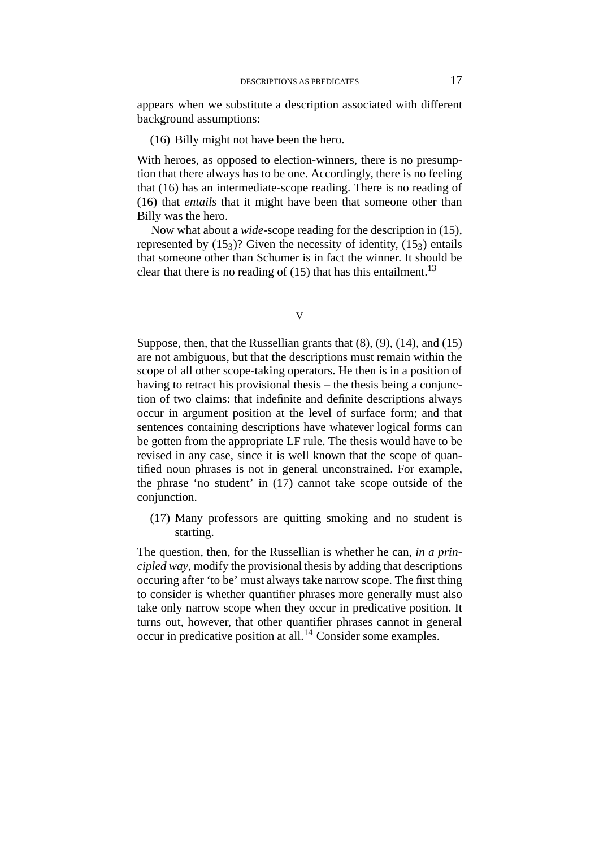appears when we substitute a description associated with different background assumptions:

# (16) Billy might not have been the hero.

With heroes, as opposed to election-winners, there is no presumption that there always has to be one. Accordingly, there is no feeling that (16) has an intermediate-scope reading. There is no reading of (16) that *entails* that it might have been that someone other than Billy was the hero.

Now what about a *wide*-scope reading for the description in (15), represented by  $(15<sub>3</sub>)$ ? Given the necessity of identity,  $(15<sub>3</sub>)$  entails that someone other than Schumer is in fact the winner. It should be clear that there is no reading of  $(15)$  that has this entailment.<sup>13</sup>

Suppose, then, that the Russellian grants that (8), (9), (14), and (15) are not ambiguous, but that the descriptions must remain within the scope of all other scope-taking operators. He then is in a position of having to retract his provisional thesis – the thesis being a conjunction of two claims: that indefinite and definite descriptions always occur in argument position at the level of surface form; and that sentences containing descriptions have whatever logical forms can be gotten from the appropriate LF rule. The thesis would have to be revised in any case, since it is well known that the scope of quantified noun phrases is not in general unconstrained. For example, the phrase 'no student' in (17) cannot take scope outside of the conjunction.

(17) Many professors are quitting smoking and no student is starting.

The question, then, for the Russellian is whether he can, *in a principled way*, modify the provisional thesis by adding that descriptions occuring after 'to be' must always take narrow scope. The first thing to consider is whether quantifier phrases more generally must also take only narrow scope when they occur in predicative position. It turns out, however, that other quantifier phrases cannot in general occur in predicative position at all.<sup>14</sup> Consider some examples.

V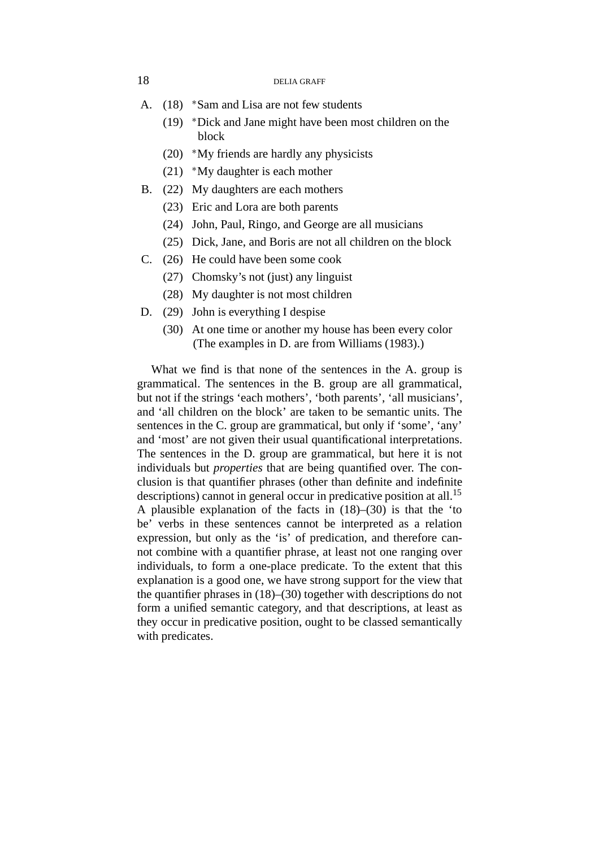- A. (18) \*Sam and Lisa are not few students
	- (19) <sup>∗</sup>Dick and Jane might have been most children on the block
	- (20) <sup>∗</sup>My friends are hardly any physicists
	- (21) <sup>∗</sup>My daughter is each mother
- B. (22) My daughters are each mothers
	- (23) Eric and Lora are both parents
	- (24) John, Paul, Ringo, and George are all musicians
	- (25) Dick, Jane, and Boris are not all children on the block
- C. (26) He could have been some cook
	- (27) Chomsky's not (just) any linguist
	- (28) My daughter is not most children
- D. (29) John is everything I despise
	- (30) At one time or another my house has been every color (The examples in D. are from Williams (1983).)

What we find is that none of the sentences in the A. group is grammatical. The sentences in the B. group are all grammatical, but not if the strings 'each mothers', 'both parents', 'all musicians', and 'all children on the block' are taken to be semantic units. The sentences in the C. group are grammatical, but only if 'some', 'any' and 'most' are not given their usual quantificational interpretations. The sentences in the D. group are grammatical, but here it is not individuals but *properties* that are being quantified over. The conclusion is that quantifier phrases (other than definite and indefinite descriptions) cannot in general occur in predicative position at all.<sup>15</sup> A plausible explanation of the facts in (18)–(30) is that the 'to be' verbs in these sentences cannot be interpreted as a relation expression, but only as the 'is' of predication, and therefore cannot combine with a quantifier phrase, at least not one ranging over individuals, to form a one-place predicate. To the extent that this explanation is a good one, we have strong support for the view that the quantifier phrases in (18)–(30) together with descriptions do not form a unified semantic category, and that descriptions, at least as they occur in predicative position, ought to be classed semantically with predicates.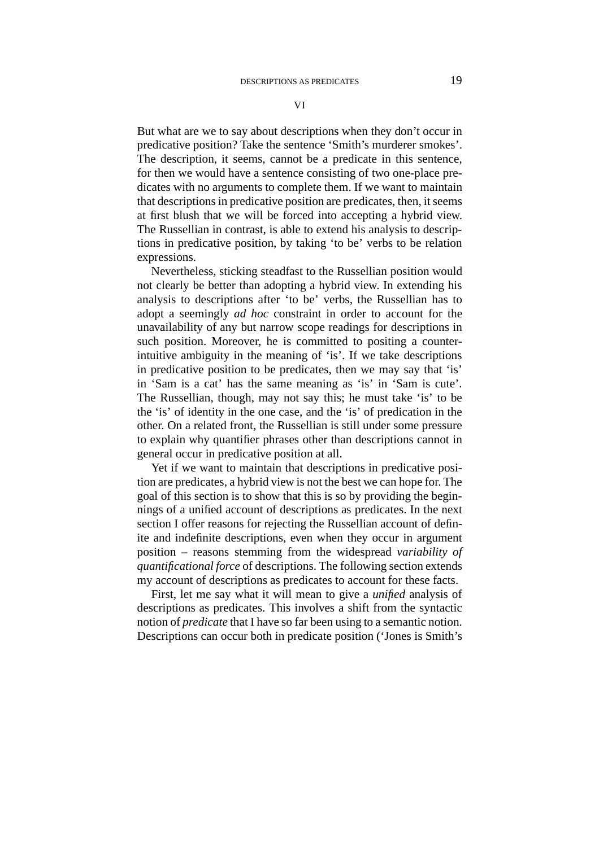VI

But what are we to say about descriptions when they don't occur in predicative position? Take the sentence 'Smith's murderer smokes'. The description, it seems, cannot be a predicate in this sentence, for then we would have a sentence consisting of two one-place predicates with no arguments to complete them. If we want to maintain that descriptions in predicative position are predicates, then, it seems at first blush that we will be forced into accepting a hybrid view. The Russellian in contrast, is able to extend his analysis to descriptions in predicative position, by taking 'to be' verbs to be relation expressions.

Nevertheless, sticking steadfast to the Russellian position would not clearly be better than adopting a hybrid view. In extending his analysis to descriptions after 'to be' verbs, the Russellian has to adopt a seemingly *ad hoc* constraint in order to account for the unavailability of any but narrow scope readings for descriptions in such position. Moreover, he is committed to positing a counterintuitive ambiguity in the meaning of 'is'. If we take descriptions in predicative position to be predicates, then we may say that 'is' in 'Sam is a cat' has the same meaning as 'is' in 'Sam is cute'. The Russellian, though, may not say this; he must take 'is' to be the 'is' of identity in the one case, and the 'is' of predication in the other. On a related front, the Russellian is still under some pressure to explain why quantifier phrases other than descriptions cannot in general occur in predicative position at all.

Yet if we want to maintain that descriptions in predicative position are predicates, a hybrid view is not the best we can hope for. The goal of this section is to show that this is so by providing the beginnings of a unified account of descriptions as predicates. In the next section I offer reasons for rejecting the Russellian account of definite and indefinite descriptions, even when they occur in argument position – reasons stemming from the widespread *variability of quantificational force* of descriptions. The following section extends my account of descriptions as predicates to account for these facts.

First, let me say what it will mean to give a *unified* analysis of descriptions as predicates. This involves a shift from the syntactic notion of *predicate* that I have so far been using to a semantic notion. Descriptions can occur both in predicate position ('Jones is Smith's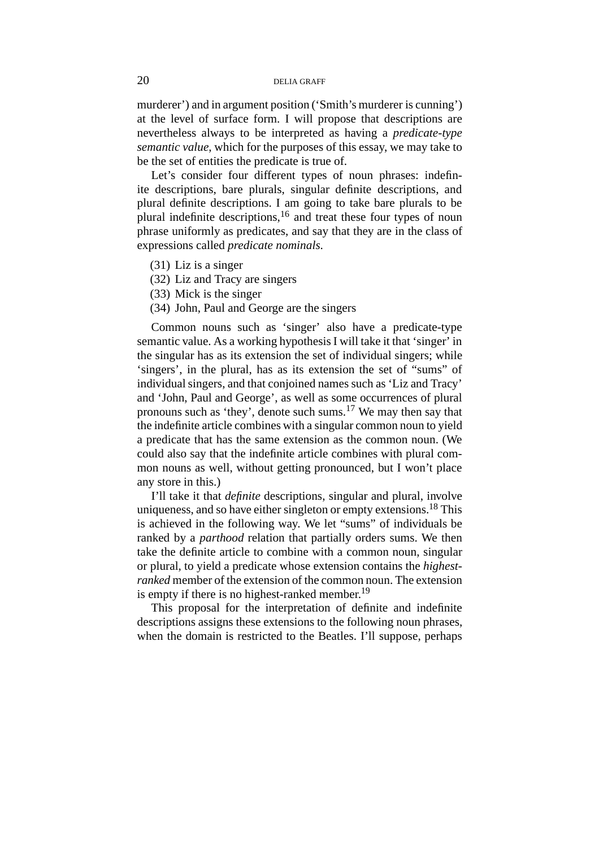murderer') and in argument position ('Smith's murderer is cunning') at the level of surface form. I will propose that descriptions are nevertheless always to be interpreted as having a *predicate-type semantic value*, which for the purposes of this essay, we may take to be the set of entities the predicate is true of.

Let's consider four different types of noun phrases: indefinite descriptions, bare plurals, singular definite descriptions, and plural definite descriptions. I am going to take bare plurals to be plural indefinite descriptions,  $16$  and treat these four types of noun phrase uniformly as predicates, and say that they are in the class of expressions called *predicate nominals*.

- (31) Liz is a singer
- (32) Liz and Tracy are singers
- (33) Mick is the singer
- (34) John, Paul and George are the singers

Common nouns such as 'singer' also have a predicate-type semantic value. As a working hypothesis I will take it that 'singer' in the singular has as its extension the set of individual singers; while 'singers', in the plural, has as its extension the set of "sums" of individual singers, and that conjoined names such as 'Liz and Tracy' and 'John, Paul and George', as well as some occurrences of plural pronouns such as 'they', denote such sums.<sup>17</sup> We may then say that the indefinite article combines with a singular common noun to yield a predicate that has the same extension as the common noun. (We could also say that the indefinite article combines with plural common nouns as well, without getting pronounced, but I won't place any store in this.)

I'll take it that *definite* descriptions, singular and plural, involve uniqueness, and so have either singleton or empty extensions.<sup>18</sup> This is achieved in the following way. We let "sums" of individuals be ranked by a *parthood* relation that partially orders sums. We then take the definite article to combine with a common noun, singular or plural, to yield a predicate whose extension contains the *highestranked* member of the extension of the common noun. The extension is empty if there is no highest-ranked member.<sup>19</sup>

This proposal for the interpretation of definite and indefinite descriptions assigns these extensions to the following noun phrases, when the domain is restricted to the Beatles. I'll suppose, perhaps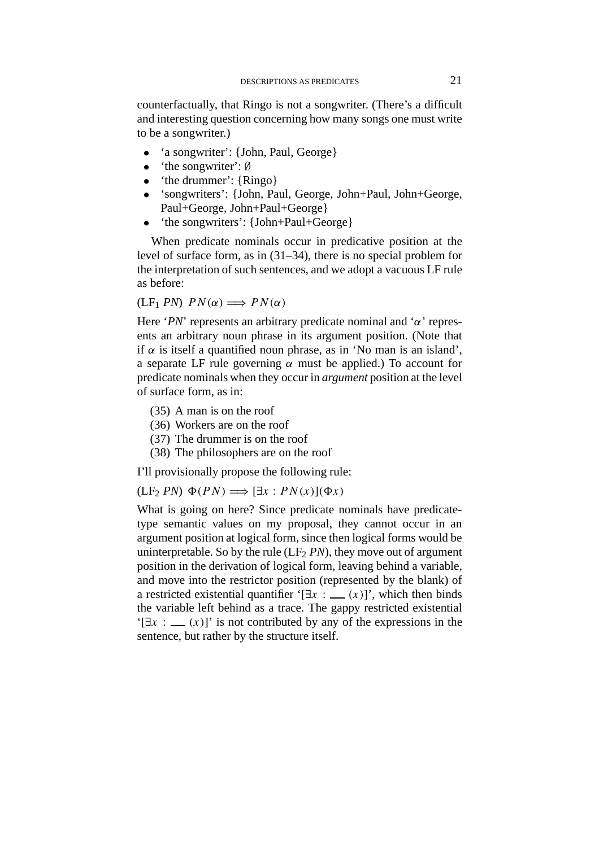counterfactually, that Ringo is not a songwriter. (There's a difficult and interesting question concerning how many songs one must write to be a songwriter.)

- 'a songwriter': {John, Paul, George}
- 'the songwriter': ∅
- 'the drummer': {Ringo}
- 'songwriters': {John, Paul, George, John+Paul, John+George, Paul+George, John+Paul+George}
- 'the songwriters': {John+Paul+George}

When predicate nominals occur in predicative position at the level of surface form, as in (31–34), there is no special problem for the interpretation of such sentences, and we adopt a vacuous LF rule as before:

 $(LF_1 PN)$   $PN(\alpha) \Longrightarrow PN(\alpha)$ 

Here '*PN*' represents an arbitrary predicate nominal and '*α*' represents an arbitrary noun phrase in its argument position. (Note that if  $\alpha$  is itself a quantified noun phrase, as in 'No man is an island', a separate LF rule governing *α* must be applied.) To account for predicate nominals when they occur in *argument* position at the level of surface form, as in:

- (35) A man is on the roof
- (36) Workers are on the roof
- (37) The drummer is on the roof
- (38) The philosophers are on the roof

I'll provisionally propose the following rule:

 $(LF_2 PN) \Phi(PN) \Longrightarrow [\exists x : PN(x)](\Phi x)$ 

What is going on here? Since predicate nominals have predicatetype semantic values on my proposal, they cannot occur in an argument position at logical form, since then logical forms would be uninterpretable. So by the rule  $(LF<sub>2</sub> PN)$ , they move out of argument position in the derivation of logical form, leaving behind a variable, and move into the restrictor position (represented by the blank) of a restricted existential quantifier ' $[\exists x : (x)]$ ', which then binds the variable left behind as a trace. The gappy restricted existential  $[f]$  $\exists x : (x)$ ]' is not contributed by any of the expressions in the sentence, but rather by the structure itself.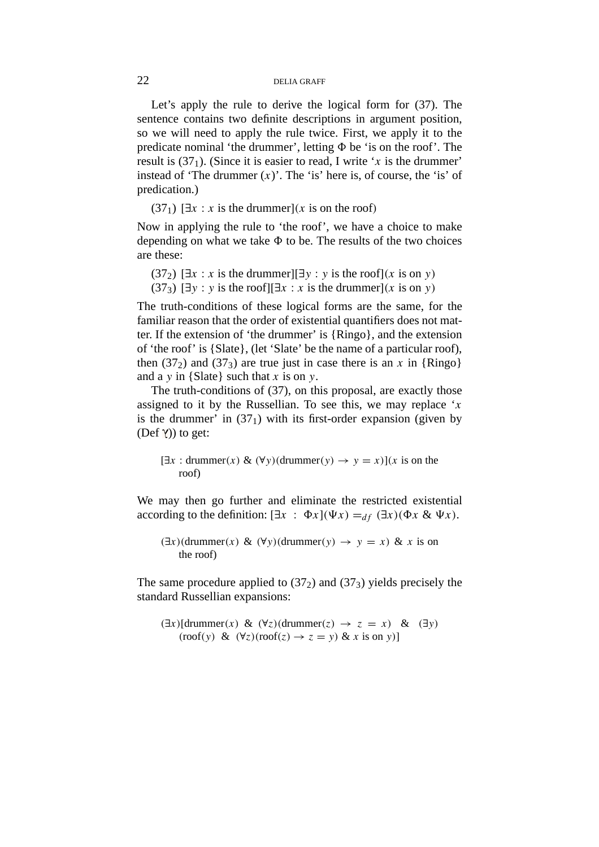Let's apply the rule to derive the logical form for (37). The sentence contains two definite descriptions in argument position, so we will need to apply the rule twice. First, we apply it to the predicate nominal 'the drummer', letting *8* be 'is on the roof'. The result is  $(37<sub>1</sub>)$ . (Since it is easier to read, I write '*x* is the drummer' instead of 'The drummer  $(x)$ '. The 'is' here is, of course, the 'is' of predication.)

 $(37<sub>1</sub>)$  [ $\exists x : x$  is the drummer]*(x* is on the roof)

Now in applying the rule to 'the roof', we have a choice to make depending on what we take  $\Phi$  to be. The results of the two choices are these:

(37<sub>2</sub>)  $[\exists x : x \text{ is the drummer}][\exists y : y \text{ is the roof}](x \text{ is on } y)$ (37<sub>3</sub>)  $[\exists y : y$  is the roof $[[\exists x : x]$  is the drummer $(x$  is on *y*)

The truth-conditions of these logical forms are the same, for the familiar reason that the order of existential quantifiers does not matter. If the extension of 'the drummer' is {Ringo}, and the extension of 'the roof' is {Slate}, (let 'Slate' be the name of a particular roof), then  $(37<sub>2</sub>)$  and  $(37<sub>3</sub>)$  are true just in case there is an *x* in {Ringo} and a *y* in {Slate} such that *x* is on *y*.

The truth-conditions of (37), on this proposal, are exactly those assigned to it by the Russellian. To see this, we may replace '*x* is the drummer' in  $(37<sub>1</sub>)$  with its first-order expansion (given by  $(Def \gamma)$  to get:

[∃*x* : drummer*(x)* & *(*∀*y)(*drummer*(y)* → *y* = *x)*]*(x* is on the roof)

We may then go further and eliminate the restricted existential according to the definition:  $[\exists x : \Phi x](\Psi x) =_{df} (\exists x)(\Phi x \& \Psi x)$ .

*(*∃*x)(*drummer*(x)* & *(*∀*y)(*drummer*(y)* → *y* = *x)* & *x* is on the roof)

The same procedure applied to  $(37<sub>2</sub>)$  and  $(37<sub>3</sub>)$  yields precisely the standard Russellian expansions:

*(*∃*x)*[drummer*(x)* & *(*∀*z)(*drummer*(z)* → *z* = *x)* & *(*∃*y)*  $(\text{roof}(y) \& (\forall z)(\text{roof}(z) \rightarrow z = y) \& x \text{ is on } y)$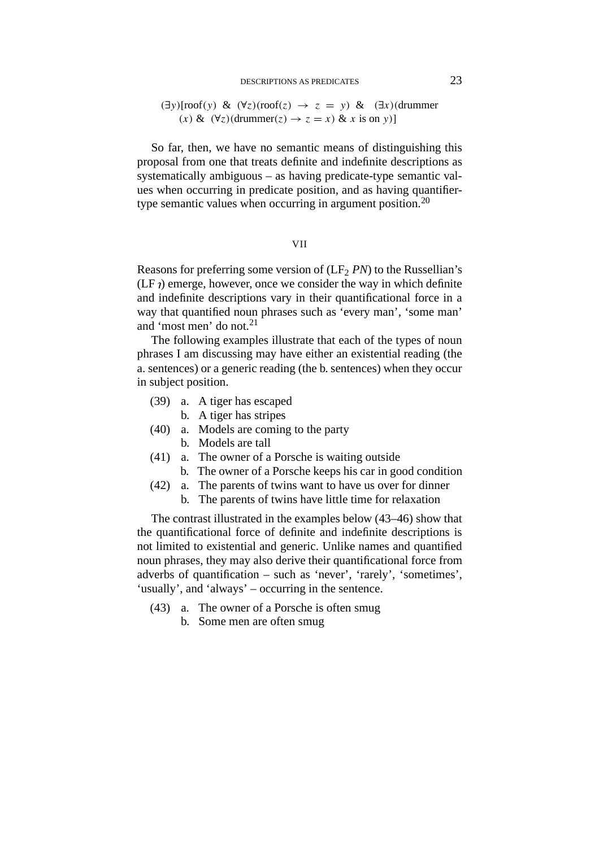### DESCRIPTIONS AS PREDICATES 23

## *(*∃*y)*[roof*(y)* & *(*∀*z)(*roof*(z)* → *z* = *y)* & *(*∃*x)(*drummer *(x)* &  $(∀z)(dramer(z) → z = x)$  & *x* is on *y*)

So far, then, we have no semantic means of distinguishing this proposal from one that treats definite and indefinite descriptions as systematically ambiguous – as having predicate-type semantic values when occurring in predicate position, and as having quantifiertype semantic values when occurring in argument position.<sup>20</sup>

### VII

Reasons for preferring some version of (LF<sub>2</sub> *PN*) to the Russellian's  $(LF)$  emerge, however, once we consider the way in which definite and indefinite descriptions vary in their quantificational force in a way that quantified noun phrases such as 'every man', 'some man' and 'most men' do not.21

The following examples illustrate that each of the types of noun phrases I am discussing may have either an existential reading (the a. sentences) or a generic reading (the b. sentences) when they occur in subject position.

- (39) a. A tiger has escaped
	- b. A tiger has stripes
- (40) a. Models are coming to the party
	- b. Models are tall
- (41) a. The owner of a Porsche is waiting outside
	- b. The owner of a Porsche keeps his car in good condition
- (42) a. The parents of twins want to have us over for dinner
	- b. The parents of twins have little time for relaxation

The contrast illustrated in the examples below (43–46) show that the quantificational force of definite and indefinite descriptions is not limited to existential and generic. Unlike names and quantified noun phrases, they may also derive their quantificational force from adverbs of quantification – such as 'never', 'rarely', 'sometimes', 'usually', and 'always' – occurring in the sentence.

- (43) a. The owner of a Porsche is often smug
	- b. Some men are often smug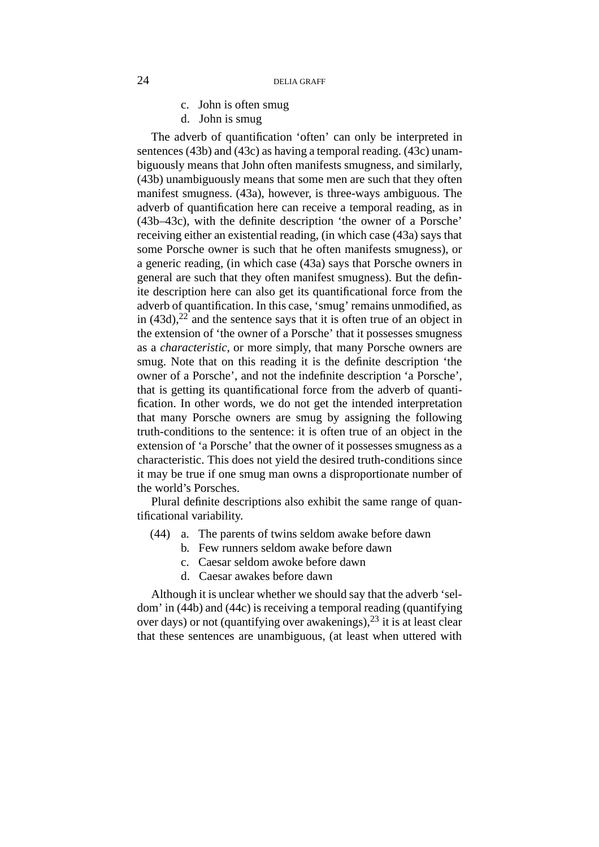- c. John is often smug
- d. John is smug

The adverb of quantification 'often' can only be interpreted in sentences (43b) and (43c) as having a temporal reading. (43c) unambiguously means that John often manifests smugness, and similarly, (43b) unambiguously means that some men are such that they often manifest smugness. (43a), however, is three-ways ambiguous. The adverb of quantification here can receive a temporal reading, as in (43b–43c), with the definite description 'the owner of a Porsche' receiving either an existential reading, (in which case (43a) says that some Porsche owner is such that he often manifests smugness), or a generic reading, (in which case (43a) says that Porsche owners in general are such that they often manifest smugness). But the definite description here can also get its quantificational force from the adverb of quantification. In this case, 'smug' remains unmodified, as in  $(43d)$ ,  $22^{\degree}$  and the sentence says that it is often true of an object in the extension of 'the owner of a Porsche' that it possesses smugness as a *characteristic*, or more simply, that many Porsche owners are smug. Note that on this reading it is the definite description 'the owner of a Porsche', and not the indefinite description 'a Porsche', that is getting its quantificational force from the adverb of quantification. In other words, we do not get the intended interpretation that many Porsche owners are smug by assigning the following truth-conditions to the sentence: it is often true of an object in the extension of 'a Porsche' that the owner of it possesses smugness as a characteristic. This does not yield the desired truth-conditions since it may be true if one smug man owns a disproportionate number of the world's Porsches.

Plural definite descriptions also exhibit the same range of quantificational variability.

- (44) a. The parents of twins seldom awake before dawn
	- b. Few runners seldom awake before dawn
	- c. Caesar seldom awoke before dawn
	- d. Caesar awakes before dawn

Although it is unclear whether we should say that the adverb 'seldom' in (44b) and (44c) is receiving a temporal reading (quantifying over days) or not (quantifying over awakenings),  $^{23}$  it is at least clear that these sentences are unambiguous, (at least when uttered with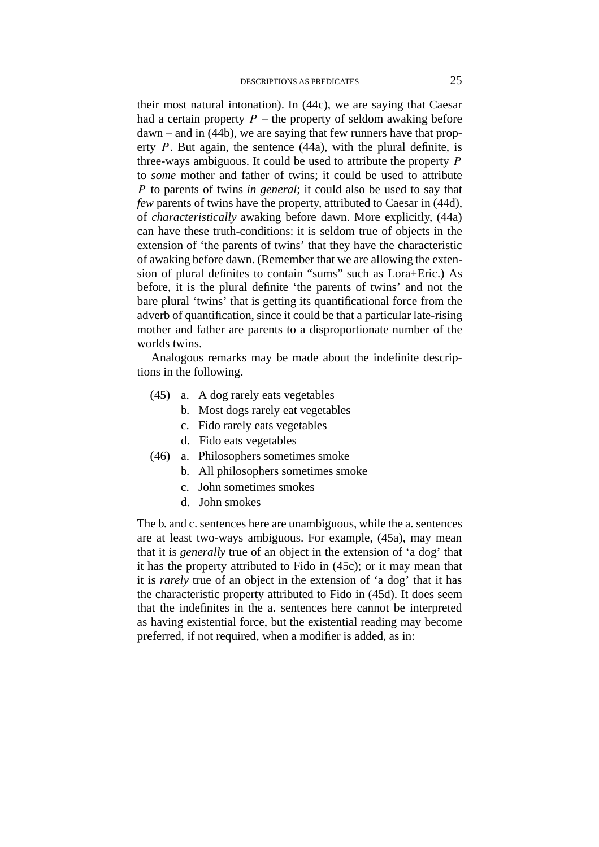their most natural intonation). In (44c), we are saying that Caesar had a certain property  $P$  – the property of seldom awaking before dawn – and in (44b), we are saying that few runners have that property *P*. But again, the sentence (44a), with the plural definite, is three-ways ambiguous. It could be used to attribute the property *P* to *some* mother and father of twins; it could be used to attribute *P* to parents of twins *in general*; it could also be used to say that *few* parents of twins have the property, attributed to Caesar in (44d), of *characteristically* awaking before dawn. More explicitly, (44a) can have these truth-conditions: it is seldom true of objects in the extension of 'the parents of twins' that they have the characteristic of awaking before dawn. (Remember that we are allowing the extension of plural definites to contain "sums" such as Lora+Eric.) As before, it is the plural definite 'the parents of twins' and not the bare plural 'twins' that is getting its quantificational force from the adverb of quantification, since it could be that a particular late-rising mother and father are parents to a disproportionate number of the worlds twins.

Analogous remarks may be made about the indefinite descriptions in the following.

- (45) a. A dog rarely eats vegetables
	- b. Most dogs rarely eat vegetables
	- c. Fido rarely eats vegetables
	- d. Fido eats vegetables
- (46) a. Philosophers sometimes smoke
	- b. All philosophers sometimes smoke
		- c. John sometimes smokes
		- d. John smokes

The b. and c. sentences here are unambiguous, while the a. sentences are at least two-ways ambiguous. For example, (45a), may mean that it is *generally* true of an object in the extension of 'a dog' that it has the property attributed to Fido in (45c); or it may mean that it is *rarely* true of an object in the extension of 'a dog' that it has the characteristic property attributed to Fido in (45d). It does seem that the indefinites in the a. sentences here cannot be interpreted as having existential force, but the existential reading may become preferred, if not required, when a modifier is added, as in: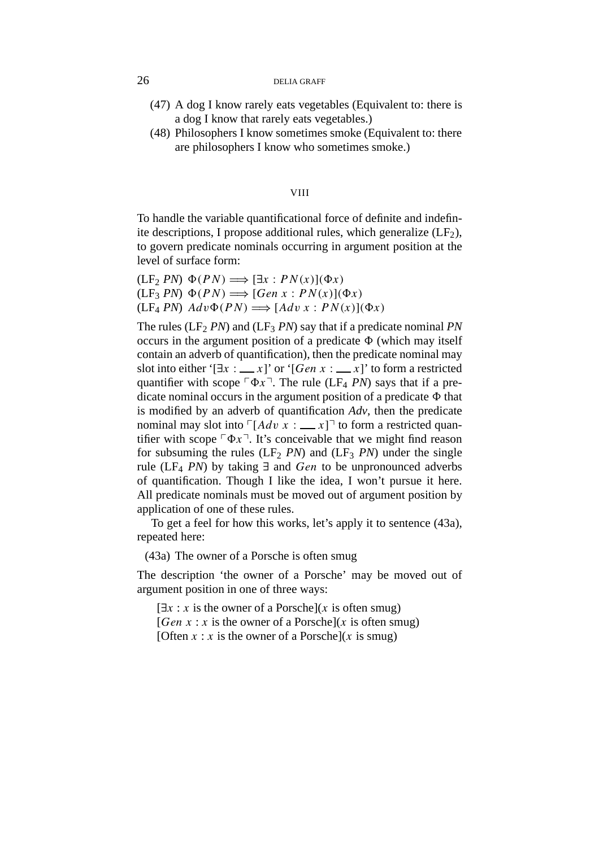- (47) A dog I know rarely eats vegetables (Equivalent to: there is a dog I know that rarely eats vegetables.)
- (48) Philosophers I know sometimes smoke (Equivalent to: there are philosophers I know who sometimes smoke.)

### VIII

To handle the variable quantificational force of definite and indefinite descriptions, I propose additional rules, which generalize  $(LF_2)$ , to govern predicate nominals occurring in argument position at the level of surface form:

 $(LF_2 PN) \Phi(PN) \Longrightarrow [\exists x : PN(x)](\Phi x)$  $(LF_3 PN) \Phi(PN) \Longrightarrow [Gen \ x : PN(x)](\Phi x)$  $(LF_4 PN) Adv \Phi(PN) \Longrightarrow [Adv x : PN(x)](\Phi x)$ 

The rules ( $LF_2 PN$ ) and ( $LF_3 PN$ ) say that if a predicate nominal *PN* occurs in the argument position of a predicate  $\Phi$  (which may itself contain an adverb of quantification), then the predicate nominal may slot into either ' $[\exists x : \underline{\hspace{1cm}} x]$ ' or ' $[Gen x : \underline{\hspace{1cm}} x]$ ' to form a restricted quantifier with scope  $\nabla \Phi x$ <sup> $\top$ </sup>. The rule (LF<sub>4</sub> *PN*) says that if a predicate nominal occurs in the argument position of a predicate *8* that is modified by an adverb of quantification *Adv*, then the predicate nominal may slot into  $\lceil A dv \ x : \ x \rceil$  to form a restricted quantifier with scope  $\lceil \Phi x \rceil$ . It's conceivable that we might find reason for subsuming the rules  $(LF_2 \, PN)$  and  $(LF_3 \, PN)$  under the single rule (LF4 *PN*) by taking ∃ and *Gen* to be unpronounced adverbs of quantification. Though I like the idea, I won't pursue it here. All predicate nominals must be moved out of argument position by application of one of these rules.

To get a feel for how this works, let's apply it to sentence (43a), repeated here:

(43a) The owner of a Porsche is often smug

The description 'the owner of a Porsche' may be moved out of argument position in one of three ways:

 $[\exists x : x$  is the owner of a Porsche](*x* is often smug) [*Gen x* : *x* is the owner of a Porsche](*x* is often smug) [Often  $x : x$  is the owner of a Porsche](x is smug)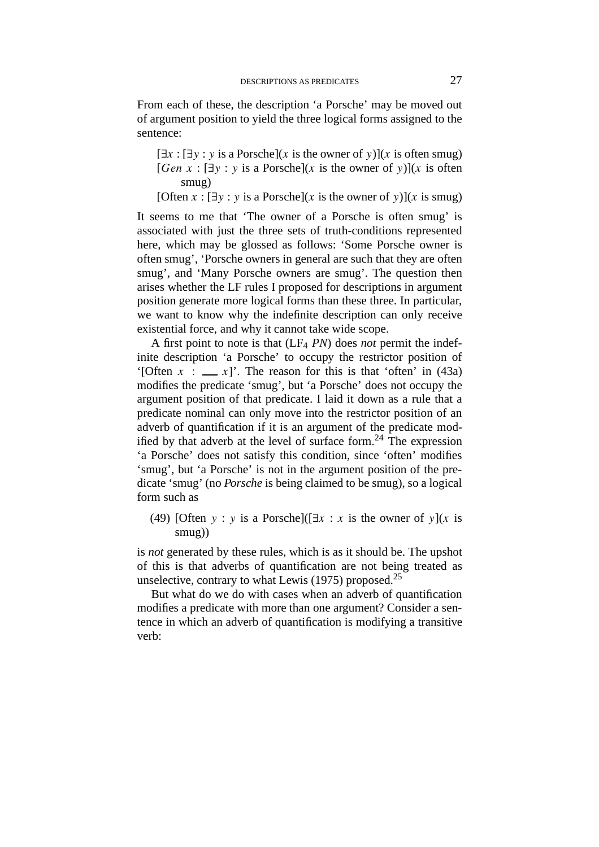From each of these, the description 'a Porsche' may be moved out of argument position to yield the three logical forms assigned to the sentence:

 $[\exists x : [\exists y : y \text{ is a Porsche}](x \text{ is the owner of } y)](x \text{ is often smug})$  $[Gen x : [\exists y : y \text{ is a Porsche}](x \text{ is the owner of } y)](x \text{ is often})$ smug)

[Often  $x : [\exists y : y \text{ is a Porsche}](x \text{ is the owner of } y)$ ](*x* is smug)

It seems to me that 'The owner of a Porsche is often smug' is associated with just the three sets of truth-conditions represented here, which may be glossed as follows: 'Some Porsche owner is often smug', 'Porsche owners in general are such that they are often smug', and 'Many Porsche owners are smug'. The question then arises whether the LF rules I proposed for descriptions in argument position generate more logical forms than these three. In particular, we want to know why the indefinite description can only receive existential force, and why it cannot take wide scope.

A first point to note is that  $(LF_4 \, PN)$  does *not* permit the indefinite description 'a Porsche' to occupy the restrictor position of '[Often  $x : \_\_\ x$ ]'. The reason for this is that 'often' in (43a) modifies the predicate 'smug', but 'a Porsche' does not occupy the argument position of that predicate. I laid it down as a rule that a predicate nominal can only move into the restrictor position of an adverb of quantification if it is an argument of the predicate modified by that adverb at the level of surface form.<sup>24</sup> The expression 'a Porsche' does not satisfy this condition, since 'often' modifies 'smug', but 'a Porsche' is not in the argument position of the predicate 'smug' (no *Porsche* is being claimed to be smug), so a logical form such as

(49) [Often *y* : *y* is a Porsche]( $[\exists x : x$  is the owner of *y*](*x* is smug))

is *not* generated by these rules, which is as it should be. The upshot of this is that adverbs of quantification are not being treated as unselective, contrary to what Lewis  $(1975)$  proposed.<sup>25</sup>

But what do we do with cases when an adverb of quantification modifies a predicate with more than one argument? Consider a sentence in which an adverb of quantification is modifying a transitive verb: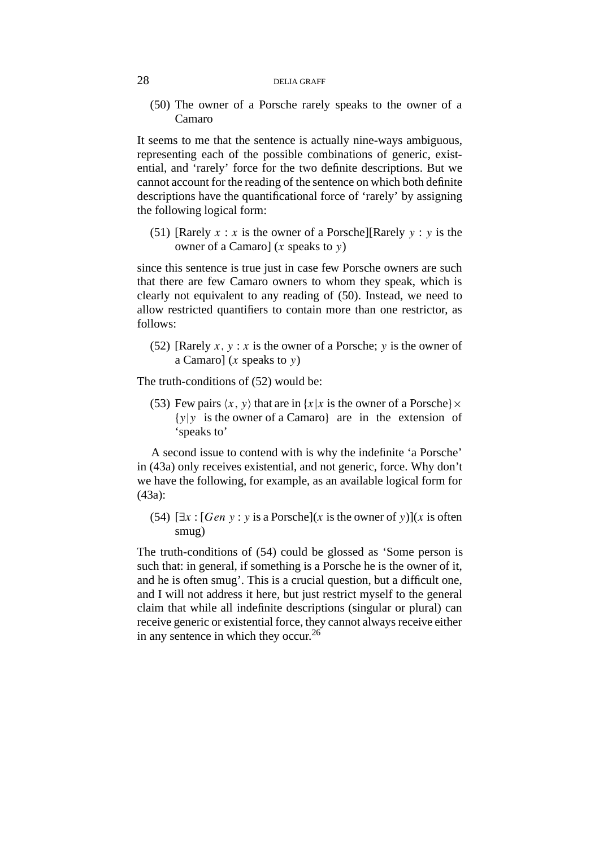(50) The owner of a Porsche rarely speaks to the owner of a Camaro

It seems to me that the sentence is actually nine-ways ambiguous, representing each of the possible combinations of generic, existential, and 'rarely' force for the two definite descriptions. But we cannot account for the reading of the sentence on which both definite descriptions have the quantificational force of 'rarely' by assigning the following logical form:

(51) [Rarely  $x : x$  is the owner of a Porsche][Rarely  $y : y$  is the owner of a Camaro] (*x* speaks to *y*)

since this sentence is true just in case few Porsche owners are such that there are few Camaro owners to whom they speak, which is clearly not equivalent to any reading of (50). Instead, we need to allow restricted quantifiers to contain more than one restrictor, as follows:

(52) [Rarely  $x, y : x$  is the owner of a Porsche; *y* is the owner of a Camaro] (*x* speaks to *y*)

The truth-conditions of (52) would be:

(53) Few pairs  $\langle x, y \rangle$  that are in  $\{x | x$  is the owner of a Porsche $\} \times$ {*y*|*y* is the owner of a Camaro} are in the extension of 'speaks to'

A second issue to contend with is why the indefinite 'a Porsche' in (43a) only receives existential, and not generic, force. Why don't we have the following, for example, as an available logical form for (43a):

(54)  $[\exists x : [Gen \, y : y \, is \, a \, Porsche](x \, is \, the \, owner \, of \, y)](x \, is \, often$ smug)

The truth-conditions of (54) could be glossed as 'Some person is such that: in general, if something is a Porsche he is the owner of it, and he is often smug'. This is a crucial question, but a difficult one, and I will not address it here, but just restrict myself to the general claim that while all indefinite descriptions (singular or plural) can receive generic or existential force, they cannot always receive either in any sentence in which they occur.<sup>26</sup>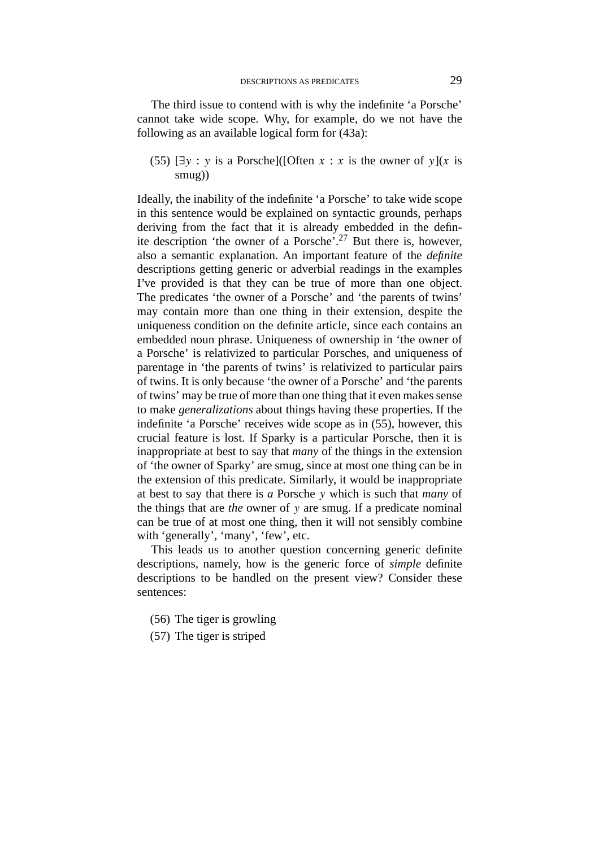The third issue to contend with is why the indefinite 'a Porsche' cannot take wide scope. Why, for example, do we not have the following as an available logical form for (43a):

(55)  $[\exists y : y \text{ is a Porsche}](\text{[Often } x : x \text{ is the owner of } y](x \text{ is})$ smug))

Ideally, the inability of the indefinite 'a Porsche' to take wide scope in this sentence would be explained on syntactic grounds, perhaps deriving from the fact that it is already embedded in the definite description 'the owner of a Porsche'.27 But there is, however, also a semantic explanation. An important feature of the *definite* descriptions getting generic or adverbial readings in the examples I've provided is that they can be true of more than one object. The predicates 'the owner of a Porsche' and 'the parents of twins' may contain more than one thing in their extension, despite the uniqueness condition on the definite article, since each contains an embedded noun phrase. Uniqueness of ownership in 'the owner of a Porsche' is relativized to particular Porsches, and uniqueness of parentage in 'the parents of twins' is relativized to particular pairs of twins. It is only because 'the owner of a Porsche' and 'the parents of twins' may be true of more than one thing that it even makes sense to make *generalizations* about things having these properties. If the indefinite 'a Porsche' receives wide scope as in (55), however, this crucial feature is lost. If Sparky is a particular Porsche, then it is inappropriate at best to say that *many* of the things in the extension of 'the owner of Sparky' are smug, since at most one thing can be in the extension of this predicate. Similarly, it would be inappropriate at best to say that there is *a* Porsche *y* which is such that *many* of the things that are *the* owner of *y* are smug. If a predicate nominal can be true of at most one thing, then it will not sensibly combine with 'generally', 'many', 'few', etc.

This leads us to another question concerning generic definite descriptions, namely, how is the generic force of *simple* definite descriptions to be handled on the present view? Consider these sentences:

- (56) The tiger is growling
- (57) The tiger is striped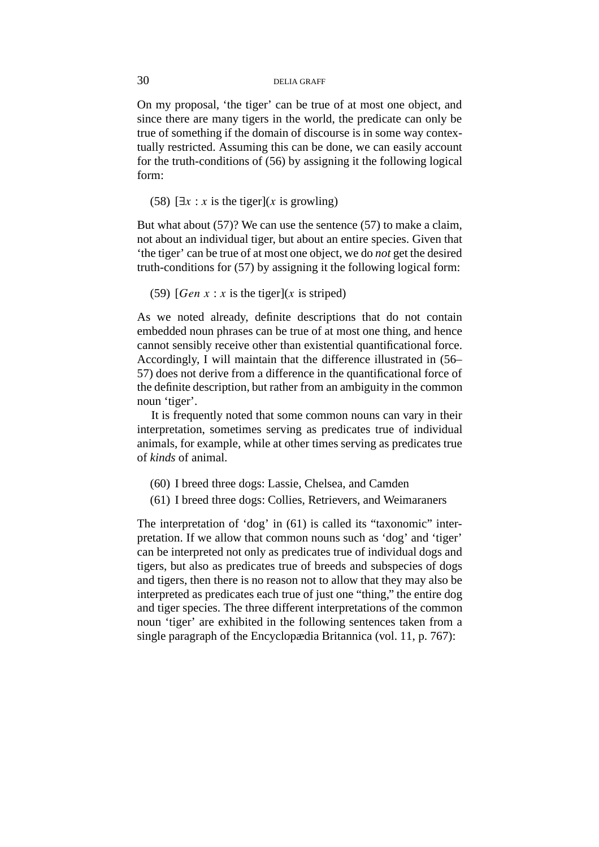On my proposal, 'the tiger' can be true of at most one object, and since there are many tigers in the world, the predicate can only be true of something if the domain of discourse is in some way contextually restricted. Assuming this can be done, we can easily account for the truth-conditions of (56) by assigning it the following logical form:

(58)  $[\exists x : x \text{ is the tiger}](x \text{ is growing})$ 

But what about (57)? We can use the sentence (57) to make a claim, not about an individual tiger, but about an entire species. Given that 'the tiger' can be true of at most one object, we do *not* get the desired truth-conditions for (57) by assigning it the following logical form:

(59)  $[Gen x : x is the tier](x is stripped)$ 

As we noted already, definite descriptions that do not contain embedded noun phrases can be true of at most one thing, and hence cannot sensibly receive other than existential quantificational force. Accordingly, I will maintain that the difference illustrated in (56– 57) does not derive from a difference in the quantificational force of the definite description, but rather from an ambiguity in the common noun 'tiger'.

It is frequently noted that some common nouns can vary in their interpretation, sometimes serving as predicates true of individual animals, for example, while at other times serving as predicates true of *kinds* of animal.

- (60) I breed three dogs: Lassie, Chelsea, and Camden
- (61) I breed three dogs: Collies, Retrievers, and Weimaraners

The interpretation of 'dog' in (61) is called its "taxonomic" interpretation. If we allow that common nouns such as 'dog' and 'tiger' can be interpreted not only as predicates true of individual dogs and tigers, but also as predicates true of breeds and subspecies of dogs and tigers, then there is no reason not to allow that they may also be interpreted as predicates each true of just one "thing," the entire dog and tiger species. The three different interpretations of the common noun 'tiger' are exhibited in the following sentences taken from a single paragraph of the Encyclopædia Britannica (vol. 11, p. 767):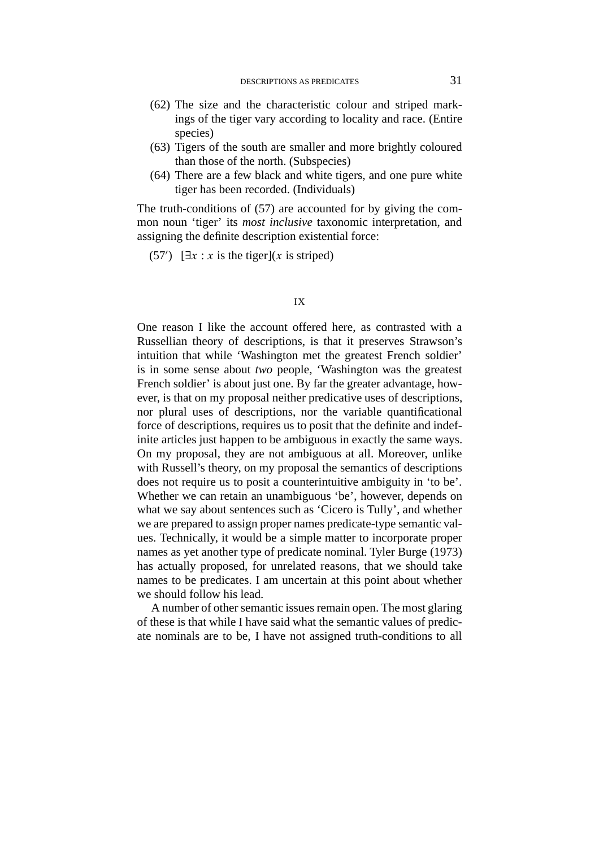- (62) The size and the characteristic colour and striped markings of the tiger vary according to locality and race. (Entire species)
- (63) Tigers of the south are smaller and more brightly coloured than those of the north. (Subspecies)
- (64) There are a few black and white tigers, and one pure white tiger has been recorded. (Individuals)

The truth-conditions of (57) are accounted for by giving the common noun 'tiger' its *most inclusive* taxonomic interpretation, and assigning the definite description existential force:

 $(57')$  [ $\exists x : x$  is the tiger](*x* is striped)

### IX

One reason I like the account offered here, as contrasted with a Russellian theory of descriptions, is that it preserves Strawson's intuition that while 'Washington met the greatest French soldier' is in some sense about *two* people, 'Washington was the greatest French soldier' is about just one. By far the greater advantage, however, is that on my proposal neither predicative uses of descriptions, nor plural uses of descriptions, nor the variable quantificational force of descriptions, requires us to posit that the definite and indefinite articles just happen to be ambiguous in exactly the same ways. On my proposal, they are not ambiguous at all. Moreover, unlike with Russell's theory, on my proposal the semantics of descriptions does not require us to posit a counterintuitive ambiguity in 'to be'. Whether we can retain an unambiguous 'be', however, depends on what we say about sentences such as 'Cicero is Tully', and whether we are prepared to assign proper names predicate-type semantic values. Technically, it would be a simple matter to incorporate proper names as yet another type of predicate nominal. Tyler Burge (1973) has actually proposed, for unrelated reasons, that we should take names to be predicates. I am uncertain at this point about whether we should follow his lead.

A number of other semantic issues remain open. The most glaring of these is that while I have said what the semantic values of predicate nominals are to be, I have not assigned truth-conditions to all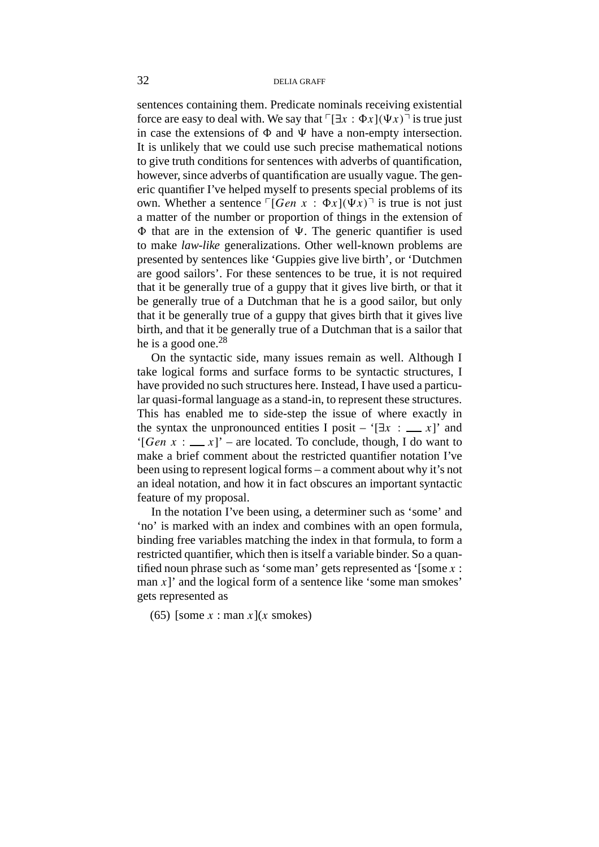sentences containing them. Predicate nominals receiving existential force are easy to deal with. We say that  $\lceil \exists x : \Phi x \rceil (\Psi x) \rceil$  is true just in case the extensions of  $\Phi$  and  $\Psi$  have a non-empty intersection. It is unlikely that we could use such precise mathematical notions to give truth conditions for sentences with adverbs of quantification, however, since adverbs of quantification are usually vague. The generic quantifier I've helped myself to presents special problems of its own. Whether a sentence  $\lceil$ *[Gen x* :  $\Phi x$ ] $(\Psi x)$ <sup> $\lceil$ </sup> is true is not just a matter of the number or proportion of things in the extension of  $\Phi$  that are in the extension of  $\Psi$ . The generic quantifier is used to make *law-like* generalizations. Other well-known problems are presented by sentences like 'Guppies give live birth', or 'Dutchmen are good sailors'. For these sentences to be true, it is not required that it be generally true of a guppy that it gives live birth, or that it be generally true of a Dutchman that he is a good sailor, but only that it be generally true of a guppy that gives birth that it gives live birth, and that it be generally true of a Dutchman that is a sailor that he is a good one. $28$ 

On the syntactic side, many issues remain as well. Although I take logical forms and surface forms to be syntactic structures, I have provided no such structures here. Instead, I have used a particular quasi-formal language as a stand-in, to represent these structures. This has enabled me to side-step the issue of where exactly in the syntax the unpronounced entities I posit – ' $[\exists x : \_\_\ x]$ ' and '[*Gen x* :  $\mathbf{x}$ ]' – are located. To conclude, though, I do want to make a brief comment about the restricted quantifier notation I've been using to represent logical forms – a comment about why it's not an ideal notation, and how it in fact obscures an important syntactic feature of my proposal.

In the notation I've been using, a determiner such as 'some' and 'no' is marked with an index and combines with an open formula, binding free variables matching the index in that formula, to form a restricted quantifier, which then is itself a variable binder. So a quantified noun phrase such as 'some man' gets represented as '[some *x* : man  $x$ ]' and the logical form of a sentence like 'some man smokes' gets represented as

(65) [some  $x : \text{man } x \mid (x \text{ smokers})$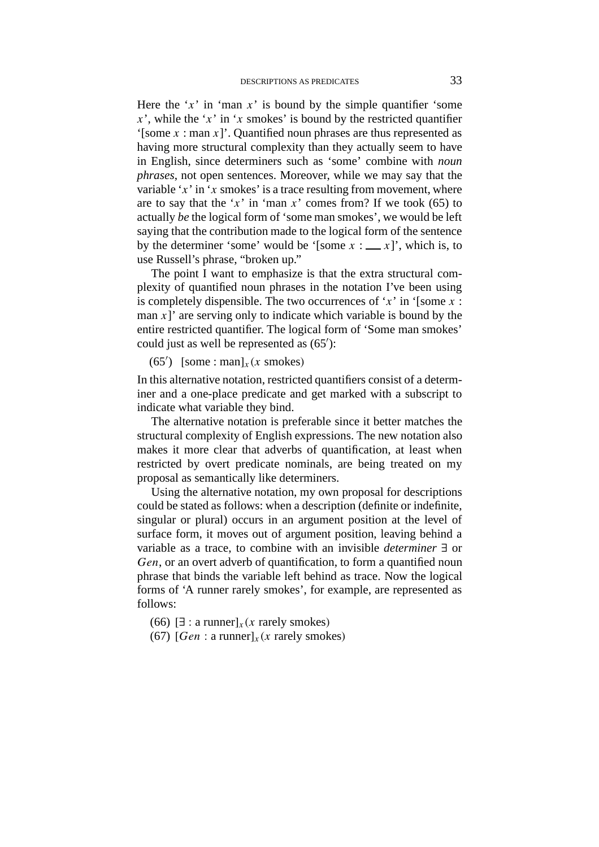Here the ' $x$ ' in 'man  $x$ ' is bound by the simple quantifier 'some  $x'$ , while the '*x*' in '*x* smokes' is bound by the restricted quantifier '[some *x* : man *x*]'. Quantified noun phrases are thus represented as having more structural complexity than they actually seem to have in English, since determiners such as 'some' combine with *noun phrases*, not open sentences. Moreover, while we may say that the variable '*x*' in '*x* smokes' is a trace resulting from movement, where are to say that the ' $x$ ' in 'man  $x$ ' comes from? If we took (65) to actually *be* the logical form of 'some man smokes', we would be left saying that the contribution made to the logical form of the sentence by the determiner 'some' would be '[some  $x : \_\_\ x$ ]', which is, to use Russell's phrase, "broken up."

The point I want to emphasize is that the extra structural complexity of quantified noun phrases in the notation I've been using is completely dispensible. The two occurrences of  $x'$  in '[some  $x$  : man  $x$ <sup> $\cdot$ </sup> are serving only to indicate which variable is bound by the entire restricted quantifier. The logical form of 'Some man smokes' could just as well be represented as  $(65')$ :

(65<sup>'</sup>) [some : man]<sub>*x*</sub>(*x* smokes)

In this alternative notation, restricted quantifiers consist of a determiner and a one-place predicate and get marked with a subscript to indicate what variable they bind.

The alternative notation is preferable since it better matches the structural complexity of English expressions. The new notation also makes it more clear that adverbs of quantification, at least when restricted by overt predicate nominals, are being treated on my proposal as semantically like determiners.

Using the alternative notation, my own proposal for descriptions could be stated as follows: when a description (definite or indefinite, singular or plural) occurs in an argument position at the level of surface form, it moves out of argument position, leaving behind a variable as a trace, to combine with an invisible *determiner* ∃ or *Gen*, or an overt adverb of quantification, to form a quantified noun phrase that binds the variable left behind as trace. Now the logical forms of 'A runner rarely smokes', for example, are represented as follows:

(66) [∃ : a runner]*x(x* rarely smokes*)*

(67)  $[Gen: a runner]_x(x rarely smokers)$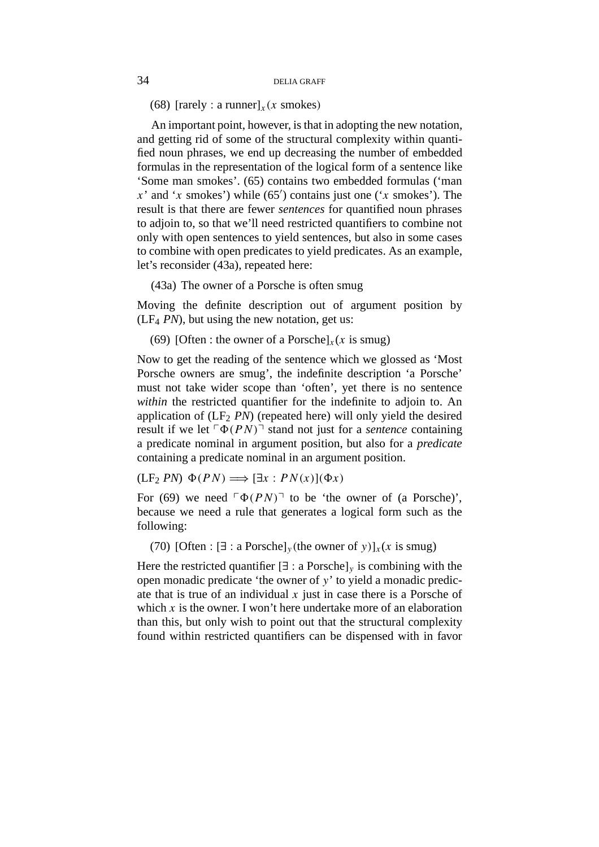(68)  $[~rarelv : a~runner]_x(x~~smokes)$ 

An important point, however, is that in adopting the new notation, and getting rid of some of the structural complexity within quantified noun phrases, we end up decreasing the number of embedded formulas in the representation of the logical form of a sentence like 'Some man smokes'. (65) contains two embedded formulas ('man  $x'$  and ' $x$  smokes') while (65') contains just one (' $x$  smokes'). The result is that there are fewer *sentences* for quantified noun phrases to adjoin to, so that we'll need restricted quantifiers to combine not only with open sentences to yield sentences, but also in some cases to combine with open predicates to yield predicates. As an example, let's reconsider (43a), repeated here:

(43a) The owner of a Porsche is often smug

Moving the definite description out of argument position by  $(LF<sub>4</sub> PN)$ , but using the new notation, get us:

(69) [Often : the owner of a Porsche] $<sub>x</sub>(x \text{ is smug})$ </sub>

Now to get the reading of the sentence which we glossed as 'Most Porsche owners are smug', the indefinite description 'a Porsche' must not take wider scope than 'often', yet there is no sentence *within* the restricted quantifier for the indefinite to adjoin to. An application of  $(LF<sub>2</sub> PN)$  (repeated here) will only yield the desired result if we let  $\lceil \Phi(P N) \rceil$  stand not just for a *sentence* containing a predicate nominal in argument position, but also for a *predicate* containing a predicate nominal in an argument position.

$$
(LF_2 PN) \Phi(PN) \Longrightarrow [\exists x : PN(x)](\Phi x)
$$

For (69) we need  $\lceil \Phi(P N) \rceil$  to be 'the owner of (a Porsche)', because we need a rule that generates a logical form such as the following:

(70) [Often :  $[\exists : a \text{ Porsche}]_y$ (the owner of *y*)]<sub>*x*</sub>(*x* is smug)

Here the restricted quantifier  $[\exists : a \text{ Porsche}]_y$  is combining with the open monadic predicate 'the owner of *y*' to yield a monadic predicate that is true of an individual  $x$  just in case there is a Porsche of which  $x$  is the owner. I won't here undertake more of an elaboration than this, but only wish to point out that the structural complexity found within restricted quantifiers can be dispensed with in favor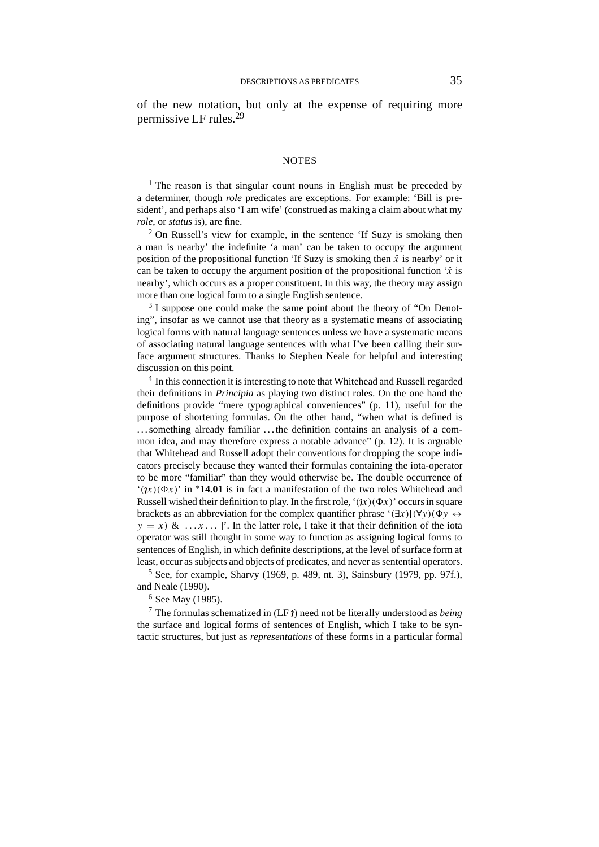of the new notation, but only at the expense of requiring more permissive LF rules.<sup>29</sup>

#### **NOTES**

<sup>1</sup> The reason is that singular count nouns in English must be preceded by a determiner, though *role* predicates are exceptions. For example: 'Bill is president', and perhaps also 'I am wife' (construed as making a claim about what my *role*, or *status* is), are fine.

 $2$  On Russell's view for example, in the sentence 'If Suzy is smoking then a man is nearby' the indefinite 'a man' can be taken to occupy the argument position of the propositional function 'If Suzy is smoking then  $\hat{x}$  is nearby' or it can be taken to occupy the argument position of the propositional function  $\hat{x}$  is nearby', which occurs as a proper constituent. In this way, the theory may assign more than one logical form to a single English sentence.

 $3\text{ I}$  suppose one could make the same point about the theory of "On Denoting", insofar as we cannot use that theory as a systematic means of associating logical forms with natural language sentences unless we have a systematic means of associating natural language sentences with what I've been calling their surface argument structures. Thanks to Stephen Neale for helpful and interesting discussion on this point.

<sup>4</sup> In this connection it is interesting to note that Whitehead and Russell regarded their definitions in *Principia* as playing two distinct roles. On the one hand the definitions provide "mere typographical conveniences" (p. 11), useful for the purpose of shortening formulas. On the other hand, "when what is defined is . . . something already familiar . . . the definition contains an analysis of a common idea, and may therefore express a notable advance" (p. 12). It is arguable that Whitehead and Russell adopt their conventions for dropping the scope indicators precisely because they wanted their formulas containing the iota-operator to be more "familiar" than they would otherwise be. The double occurrence of ' $(\iota x)(\Phi x)$ ' in \*14.01 is in fact a manifestation of the two roles Whitehead and Russell wished their definition to play. In the first role, ' $(\gamma x)(\Phi x)$ ' occurs in square brackets as an abbreviation for the complex quantifier phrase ' $(\exists x)[(\forall y)(\Phi y \leftrightarrow \Phi y)]$  $y = x$ ) &  $\ldots x \ldots$  ]. In the latter role, I take it that their definition of the iota operator was still thought in some way to function as assigning logical forms to sentences of English, in which definite descriptions, at the level of surface form at least, occur as subjects and objects of predicates, and never as sentential operators.

 $5$  See, for example, Sharvy (1969, p. 489, nt. 3), Sainsbury (1979, pp. 97f.), and Neale (1990).

<sup>6</sup> See May (1985).

 $7$  The formulas schematized in (LF  $\eta$ ) need not be literally understood as *being* the surface and logical forms of sentences of English, which I take to be syntactic structures, but just as *representations* of these forms in a particular formal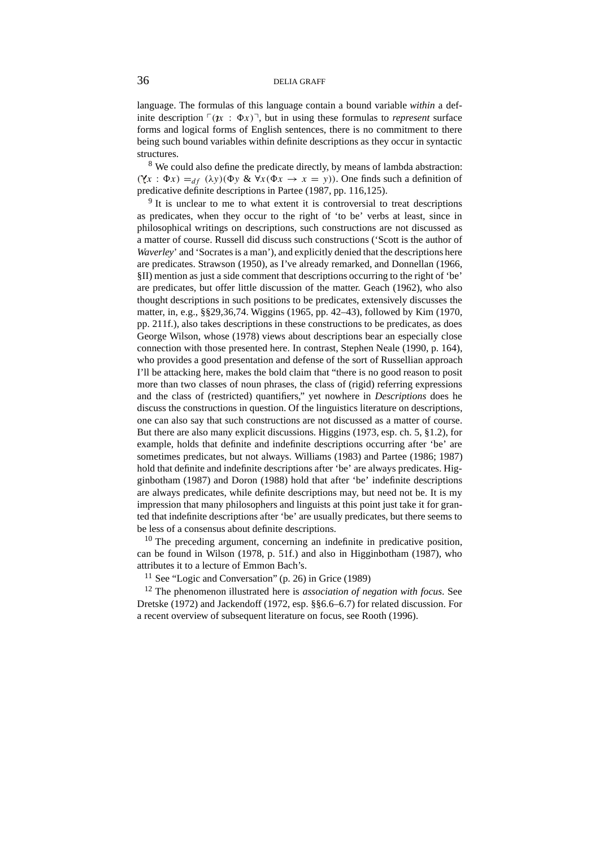language. The formulas of this language contain a bound variable *within* a definite description  $\lceil (x : \Phi x) \rceil$ , but in using these formulas to *represent* surface forms and logical forms of English sentences, there is no commitment to there being such bound variables within definite descriptions as they occur in syntactic structures.

<sup>8</sup> We could also define the predicate directly, by means of lambda abstraction:  $(Yx : \Phi x) =_{df} ( \lambda y) (\Phi y \& \forall x (\Phi x \rightarrow x = y))$ . One finds such a definition of predicative definite descriptions in Partee (1987, pp. 116,125).

<sup>9</sup> It is unclear to me to what extent it is controversial to treat descriptions as predicates, when they occur to the right of 'to be' verbs at least, since in philosophical writings on descriptions, such constructions are not discussed as a matter of course. Russell did discuss such constructions ('Scott is the author of *Waverley*' and 'Socrates is a man'), and explicitly denied that the descriptions here are predicates. Strawson (1950), as I've already remarked, and Donnellan (1966, §II) mention as just a side comment that descriptions occurring to the right of 'be' are predicates, but offer little discussion of the matter. Geach (1962), who also thought descriptions in such positions to be predicates, extensively discusses the matter, in, e.g., §§29,36,74. Wiggins (1965, pp. 42–43), followed by Kim (1970, pp. 211f.), also takes descriptions in these constructions to be predicates, as does George Wilson, whose (1978) views about descriptions bear an especially close connection with those presented here. In contrast, Stephen Neale (1990, p. 164), who provides a good presentation and defense of the sort of Russellian approach I'll be attacking here, makes the bold claim that "there is no good reason to posit more than two classes of noun phrases, the class of (rigid) referring expressions and the class of (restricted) quantifiers," yet nowhere in *Descriptions* does he discuss the constructions in question. Of the linguistics literature on descriptions, one can also say that such constructions are not discussed as a matter of course. But there are also many explicit discussions. Higgins (1973, esp. ch. 5, §1.2), for example, holds that definite and indefinite descriptions occurring after 'be' are sometimes predicates, but not always. Williams (1983) and Partee (1986; 1987) hold that definite and indefinite descriptions after 'be' are always predicates. Higginbotham (1987) and Doron (1988) hold that after 'be' indefinite descriptions are always predicates, while definite descriptions may, but need not be. It is my impression that many philosophers and linguists at this point just take it for granted that indefinite descriptions after 'be' are usually predicates, but there seems to be less of a consensus about definite descriptions.

<sup>10</sup> The preceding argument, concerning an indefinite in predicative position, can be found in Wilson (1978, p. 51f.) and also in Higginbotham (1987), who attributes it to a lecture of Emmon Bach's.

<sup>11</sup> See "Logic and Conversation" (p. 26) in Grice (1989)

<sup>12</sup> The phenomenon illustrated here is *association of negation with focus*. See Dretske (1972) and Jackendoff (1972, esp. §§6.6–6.7) for related discussion. For a recent overview of subsequent literature on focus, see Rooth (1996).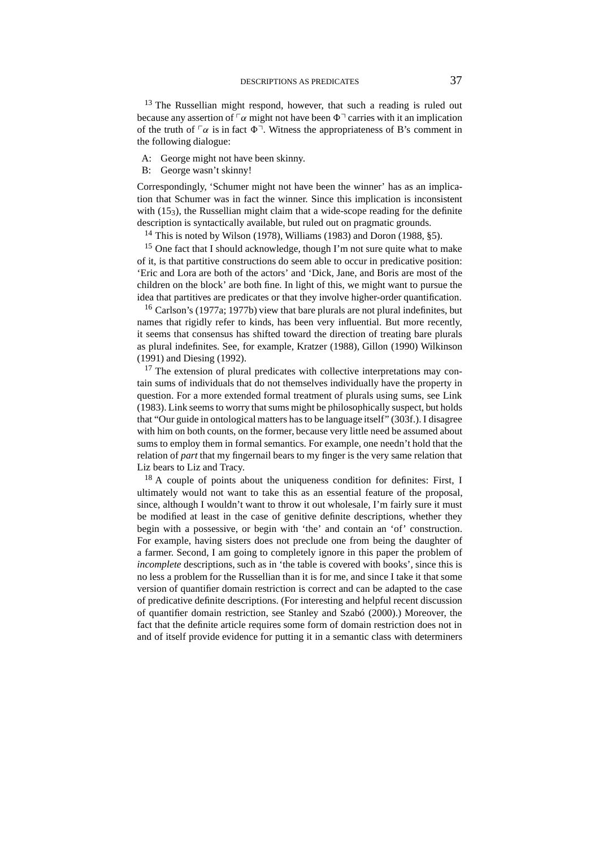$13$  The Russellian might respond, however, that such a reading is ruled out because any assertion of  $\lceil \alpha \rceil$  might not have been  $\Phi$ <sup> $\lceil \alpha \rceil$ </sup> carries with it an implication of the truth of  $\lceil \alpha \rceil$  is in fact  $\Phi$ <sup> $\lceil$ </sup>. Witness the appropriateness of B's comment in the following dialogue:

- A: George might not have been skinny.
- B: George wasn't skinny!

Correspondingly, 'Schumer might not have been the winner' has as an implication that Schumer was in fact the winner. Since this implication is inconsistent with (15<sub>3</sub>), the Russellian might claim that a wide-scope reading for the definite description is syntactically available, but ruled out on pragmatic grounds.

<sup>14</sup> This is noted by Wilson (1978), Williams (1983) and Doron (1988, §5).

<sup>15</sup> One fact that I should acknowledge, though I'm not sure quite what to make of it, is that partitive constructions do seem able to occur in predicative position: 'Eric and Lora are both of the actors' and 'Dick, Jane, and Boris are most of the children on the block' are both fine. In light of this, we might want to pursue the idea that partitives are predicates or that they involve higher-order quantification.

<sup>16</sup> Carlson's (1977a; 1977b) view that bare plurals are not plural indefinites, but names that rigidly refer to kinds, has been very influential. But more recently, it seems that consensus has shifted toward the direction of treating bare plurals as plural indefinites. See, for example, Kratzer (1988), Gillon (1990) Wilkinson (1991) and Diesing (1992).

<sup>17</sup> The extension of plural predicates with collective interpretations may contain sums of individuals that do not themselves individually have the property in question. For a more extended formal treatment of plurals using sums, see Link (1983). Link seems to worry that sums might be philosophically suspect, but holds that "Our guide in ontological matters has to be language itself" (303f.). I disagree with him on both counts, on the former, because very little need be assumed about sums to employ them in formal semantics. For example, one needn't hold that the relation of *part* that my fingernail bears to my finger is the very same relation that Liz bears to Liz and Tracy.

 $18$  A couple of points about the uniqueness condition for definites: First, I ultimately would not want to take this as an essential feature of the proposal, since, although I wouldn't want to throw it out wholesale, I'm fairly sure it must be modified at least in the case of genitive definite descriptions, whether they begin with a possessive, or begin with 'the' and contain an 'of' construction. For example, having sisters does not preclude one from being the daughter of a farmer. Second, I am going to completely ignore in this paper the problem of *incomplete* descriptions, such as in 'the table is covered with books', since this is no less a problem for the Russellian than it is for me, and since I take it that some version of quantifier domain restriction is correct and can be adapted to the case of predicative definite descriptions. (For interesting and helpful recent discussion of quantifier domain restriction, see Stanley and Szabó (2000).) Moreover, the fact that the definite article requires some form of domain restriction does not in and of itself provide evidence for putting it in a semantic class with determiners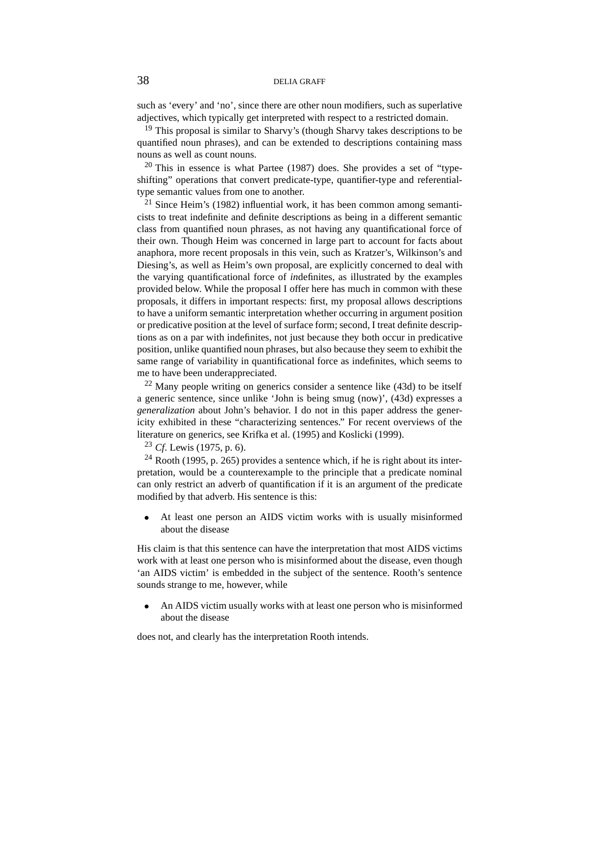such as 'every' and 'no', since there are other noun modifiers, such as superlative adjectives, which typically get interpreted with respect to a restricted domain.

<sup>19</sup> This proposal is similar to Sharvy's (though Sharvy takes descriptions to be quantified noun phrases), and can be extended to descriptions containing mass nouns as well as count nouns.

 $20$  This in essence is what Partee (1987) does. She provides a set of "typeshifting" operations that convert predicate-type, quantifier-type and referentialtype semantic values from one to another.

 $21$  Since Heim's (1982) influential work, it has been common among semanticists to treat indefinite and definite descriptions as being in a different semantic class from quantified noun phrases, as not having any quantificational force of their own. Though Heim was concerned in large part to account for facts about anaphora, more recent proposals in this vein, such as Kratzer's, Wilkinson's and Diesing's, as well as Heim's own proposal, are explicitly concerned to deal with the varying quantificational force of *in*definites, as illustrated by the examples provided below. While the proposal I offer here has much in common with these proposals, it differs in important respects: first, my proposal allows descriptions to have a uniform semantic interpretation whether occurring in argument position or predicative position at the level of surface form; second, I treat definite descriptions as on a par with indefinites, not just because they both occur in predicative position, unlike quantified noun phrases, but also because they seem to exhibit the same range of variability in quantificational force as indefinites, which seems to me to have been underappreciated.

 $22$  Many people writing on generics consider a sentence like (43d) to be itself a generic sentence, since unlike 'John is being smug (now)', (43d) expresses a *generalization* about John's behavior. I do not in this paper address the genericity exhibited in these "characterizing sentences." For recent overviews of the literature on generics, see Krifka et al. (1995) and Koslicki (1999).

<sup>23</sup> *Cf*. Lewis (1975, p. 6).

<sup>24</sup> Rooth (1995, p. 265) provides a sentence which, if he is right about its interpretation, would be a counterexample to the principle that a predicate nominal can only restrict an adverb of quantification if it is an argument of the predicate modified by that adverb. His sentence is this:

• At least one person an AIDS victim works with is usually misinformed about the disease

His claim is that this sentence can have the interpretation that most AIDS victims work with at least one person who is misinformed about the disease, even though 'an AIDS victim' is embedded in the subject of the sentence. Rooth's sentence sounds strange to me, however, while

• An AIDS victim usually works with at least one person who is misinformed about the disease

does not, and clearly has the interpretation Rooth intends.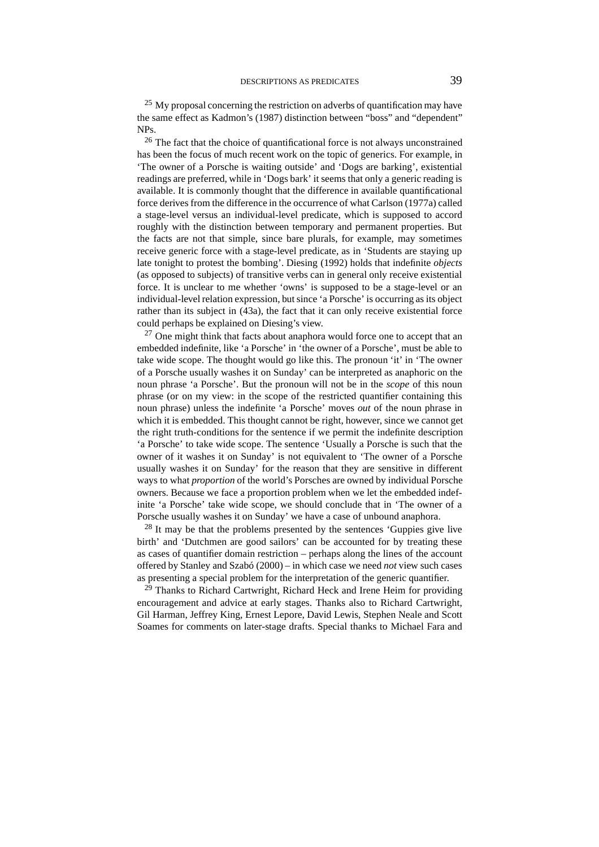$25$  My proposal concerning the restriction on adverbs of quantification may have the same effect as Kadmon's (1987) distinction between "boss" and "dependent" NPs.

<sup>26</sup> The fact that the choice of quantificational force is not always unconstrained has been the focus of much recent work on the topic of generics. For example, in 'The owner of a Porsche is waiting outside' and 'Dogs are barking', existential readings are preferred, while in 'Dogs bark' it seems that only a generic reading is available. It is commonly thought that the difference in available quantificational force derives from the difference in the occurrence of what Carlson (1977a) called a stage-level versus an individual-level predicate, which is supposed to accord roughly with the distinction between temporary and permanent properties. But the facts are not that simple, since bare plurals, for example, may sometimes receive generic force with a stage-level predicate, as in 'Students are staying up late tonight to protest the bombing'. Diesing (1992) holds that indefinite *objects* (as opposed to subjects) of transitive verbs can in general only receive existential force. It is unclear to me whether 'owns' is supposed to be a stage-level or an individual-level relation expression, but since 'a Porsche' is occurring as its object rather than its subject in (43a), the fact that it can only receive existential force could perhaps be explained on Diesing's view.

 $27$  One might think that facts about anaphora would force one to accept that an embedded indefinite, like 'a Porsche' in 'the owner of a Porsche', must be able to take wide scope. The thought would go like this. The pronoun 'it' in 'The owner of a Porsche usually washes it on Sunday' can be interpreted as anaphoric on the noun phrase 'a Porsche'. But the pronoun will not be in the *scope* of this noun phrase (or on my view: in the scope of the restricted quantifier containing this noun phrase) unless the indefinite 'a Porsche' moves *out* of the noun phrase in which it is embedded. This thought cannot be right, however, since we cannot get the right truth-conditions for the sentence if we permit the indefinite description 'a Porsche' to take wide scope. The sentence 'Usually a Porsche is such that the owner of it washes it on Sunday' is not equivalent to 'The owner of a Porsche usually washes it on Sunday' for the reason that they are sensitive in different ways to what *proportion* of the world's Porsches are owned by individual Porsche owners. Because we face a proportion problem when we let the embedded indefinite 'a Porsche' take wide scope, we should conclude that in 'The owner of a Porsche usually washes it on Sunday' we have a case of unbound anaphora.

<sup>28</sup> It may be that the problems presented by the sentences 'Guppies give live birth' and 'Dutchmen are good sailors' can be accounted for by treating these as cases of quantifier domain restriction – perhaps along the lines of the account offered by Stanley and Szabó (2000) – in which case we need *not* view such cases as presenting a special problem for the interpretation of the generic quantifier.

<sup>29</sup> Thanks to Richard Cartwright, Richard Heck and Irene Heim for providing encouragement and advice at early stages. Thanks also to Richard Cartwright, Gil Harman, Jeffrey King, Ernest Lepore, David Lewis, Stephen Neale and Scott Soames for comments on later-stage drafts. Special thanks to Michael Fara and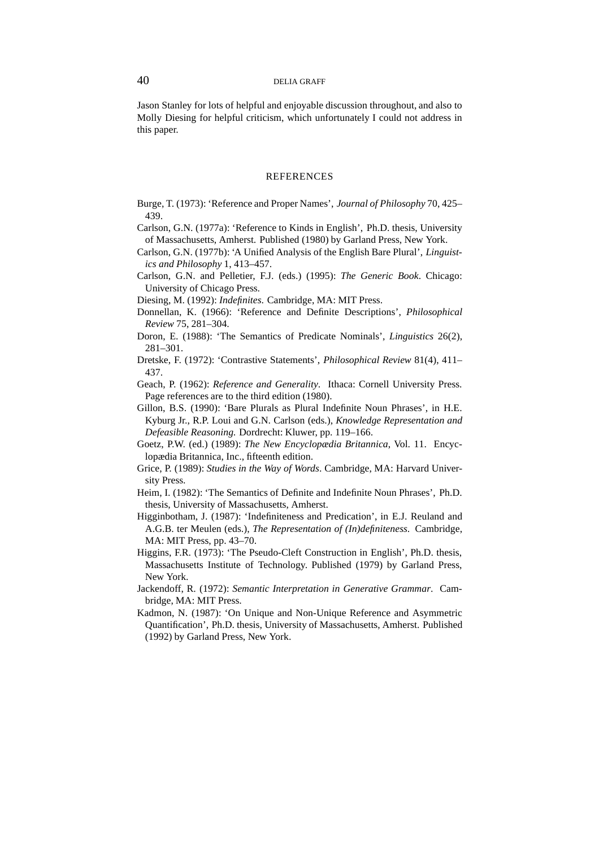Jason Stanley for lots of helpful and enjoyable discussion throughout, and also to Molly Diesing for helpful criticism, which unfortunately I could not address in this paper.

#### **REFERENCES**

- Burge, T. (1973): 'Reference and Proper Names', *Journal of Philosophy* 70, 425– 439.
- Carlson, G.N. (1977a): 'Reference to Kinds in English', Ph.D. thesis, University of Massachusetts, Amherst. Published (1980) by Garland Press, New York.
- Carlson, G.N. (1977b): 'A Unified Analysis of the English Bare Plural', *Linguistics and Philosophy* 1, 413–457.
- Carlson, G.N. and Pelletier, F.J. (eds.) (1995): *The Generic Book*. Chicago: University of Chicago Press.
- Diesing, M. (1992): *Indefinites*. Cambridge, MA: MIT Press.
- Donnellan, K. (1966): 'Reference and Definite Descriptions', *Philosophical Review* 75, 281–304.
- Doron, E. (1988): 'The Semantics of Predicate Nominals', *Linguistics* 26(2), 281–301.
- Dretske, F. (1972): 'Contrastive Statements', *Philosophical Review* 81(4), 411– 437.
- Geach, P. (1962): *Reference and Generality*. Ithaca: Cornell University Press. Page references are to the third edition (1980).
- Gillon, B.S. (1990): 'Bare Plurals as Plural Indefinite Noun Phrases', in H.E. Kyburg Jr., R.P. Loui and G.N. Carlson (eds.), *Knowledge Representation and Defeasible Reasoning*. Dordrecht: Kluwer, pp. 119–166.
- Goetz, P.W. (ed.) (1989): *The New Encyclopædia Britannica*, Vol. 11. Encyclopædia Britannica, Inc., fifteenth edition.
- Grice, P. (1989): *Studies in the Way of Words*. Cambridge, MA: Harvard University Press.
- Heim, I. (1982): 'The Semantics of Definite and Indefinite Noun Phrases', Ph.D. thesis, University of Massachusetts, Amherst.
- Higginbotham, J. (1987): 'Indefiniteness and Predication', in E.J. Reuland and A.G.B. ter Meulen (eds.), *The Representation of (In)definiteness*. Cambridge, MA: MIT Press, pp. 43–70.
- Higgins, F.R. (1973): 'The Pseudo-Cleft Construction in English', Ph.D. thesis, Massachusetts Institute of Technology. Published (1979) by Garland Press, New York.
- Jackendoff, R. (1972): *Semantic Interpretation in Generative Grammar*. Cambridge, MA: MIT Press.
- Kadmon, N. (1987): 'On Unique and Non-Unique Reference and Asymmetric Quantification', Ph.D. thesis, University of Massachusetts, Amherst. Published (1992) by Garland Press, New York.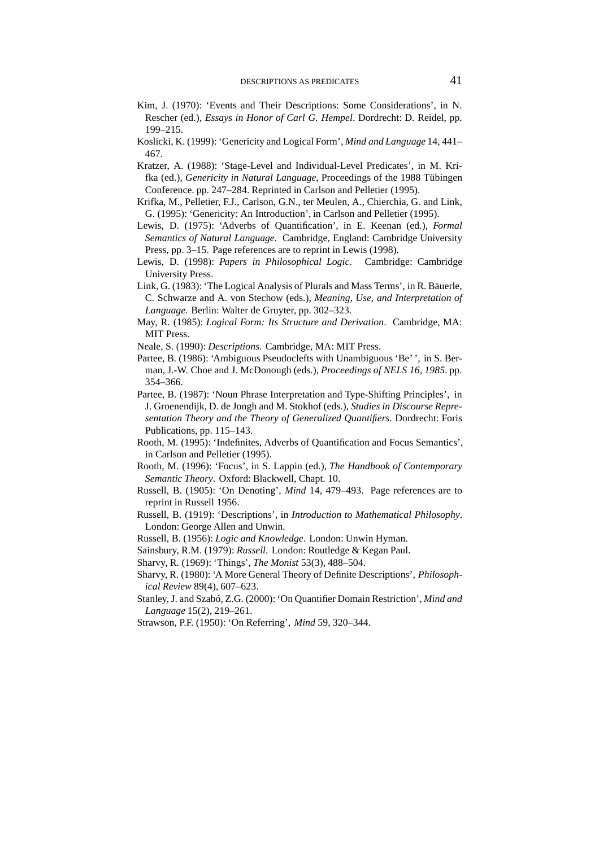- Kim, J. (1970): 'Events and Their Descriptions: Some Considerations', in N. Rescher (ed.), *Essays in Honor of Carl G. Hempel*. Dordrecht: D. Reidel, pp. 199–215.
- Koslicki, K. (1999): 'Genericity and Logical Form', *Mind and Language* 14, 441– 467.
- Kratzer, A. (1988): 'Stage-Level and Individual-Level Predicates', in M. Krifka (ed.), *Genericity in Natural Language*, Proceedings of the 1988 Tübingen Conference. pp. 247–284. Reprinted in Carlson and Pelletier (1995).
- Krifka, M., Pelletier, F.J., Carlson, G.N., ter Meulen, A., Chierchia, G. and Link, G. (1995): 'Genericity: An Introduction', in Carlson and Pelletier (1995).
- Lewis, D. (1975): 'Adverbs of Quantification', in E. Keenan (ed.), *Formal Semantics of Natural Language*. Cambridge, England: Cambridge University Press, pp. 3–15. Page references are to reprint in Lewis (1998).
- Lewis, D. (1998): *Papers in Philosophical Logic*. Cambridge: Cambridge University Press.
- Link, G. (1983): 'The Logical Analysis of Plurals and Mass Terms', in R. Bäuerle, C. Schwarze and A. von Stechow (eds.), *Meaning, Use, and Interpretation of Language*. Berlin: Walter de Gruyter, pp. 302–323.
- May, R. (1985): *Logical Form: Its Structure and Derivation*. Cambridge, MA: MIT Press.
- Neale, S. (1990): *Descriptions*. Cambridge, MA: MIT Press.
- Partee, B. (1986): 'Ambiguous Pseudoclefts with Unambiguous 'Be' ', in S. Berman, J.-W. Choe and J. McDonough (eds.), *Proceedings of NELS 16, 1985*. pp. 354–366.
- Partee, B. (1987): 'Noun Phrase Interpretation and Type-Shifting Principles', in J. Groenendijk, D. de Jongh and M. Stokhof (eds.), *Studies in Discourse Representation Theory and the Theory of Generalized Quantifiers*. Dordrecht: Foris Publications, pp. 115–143.
- Rooth, M. (1995): 'Indefinites, Adverbs of Quantification and Focus Semantics', in Carlson and Pelletier (1995).
- Rooth, M. (1996): 'Focus', in S. Lappin (ed.), *The Handbook of Contemporary Semantic Theory*. Oxford: Blackwell, Chapt. 10.
- Russell, B. (1905): 'On Denoting', *Mind* 14, 479–493. Page references are to reprint in Russell 1956.
- Russell, B. (1919): 'Descriptions', in *Introduction to Mathematical Philosophy*. London: George Allen and Unwin.
- Russell, B. (1956): *Logic and Knowledge*. London: Unwin Hyman.
- Sainsbury, R.M. (1979): *Russell*. London: Routledge & Kegan Paul.
- Sharvy, R. (1969): 'Things', *The Monist* 53(3), 488–504.
- Sharvy, R. (1980): 'A More General Theory of Definite Descriptions', *Philosophical Review* 89(4), 607–623.
- Stanley, J. and Szabó, Z.G. (2000): 'On Quantifier Domain Restriction', *Mind and Language* 15(2), 219–261.
- Strawson, P.F. (1950): 'On Referring', *Mind* 59, 320–344.